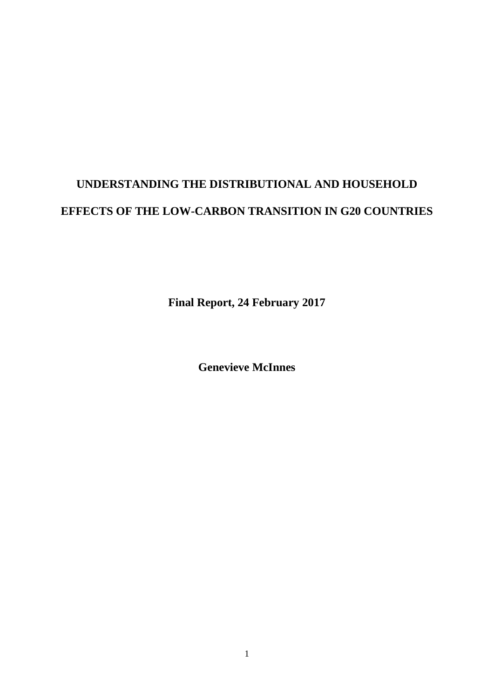# **UNDERSTANDING THE DISTRIBUTIONAL AND HOUSEHOLD EFFECTS OF THE LOW-CARBON TRANSITION IN G20 COUNTRIES**

**Final Report, 24 February 2017**

**Genevieve McInnes**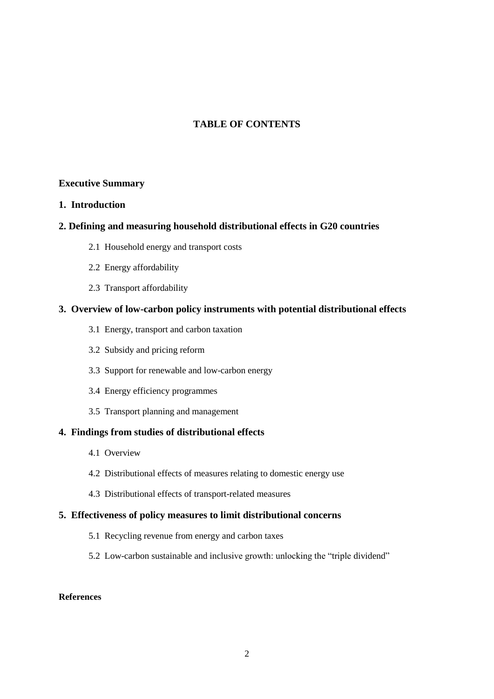## **TABLE OF CONTENTS**

#### **Executive Summary**

#### **1. Introduction**

#### **2. Defining and measuring household distributional effects in G20 countries**

- 2.1 Household energy and transport costs
- 2.2 Energy affordability
- 2.3 Transport affordability

#### **3. Overview of low-carbon policy instruments with potential distributional effects**

- 3.1 Energy, transport and carbon taxation
- 3.2 Subsidy and pricing reform
- 3.3 Support for renewable and low-carbon energy
- 3.4 Energy efficiency programmes
- 3.5 Transport planning and management

## **4. Findings from studies of distributional effects**

- 4.1 Overview
- 4.2 Distributional effects of measures relating to domestic energy use
- 4.3 Distributional effects of transport-related measures

#### **5. Effectiveness of policy measures to limit distributional concerns**

- 5.1 Recycling revenue from energy and carbon taxes
- 5.2 Low-carbon sustainable and inclusive growth: unlocking the "triple dividend"

#### **References**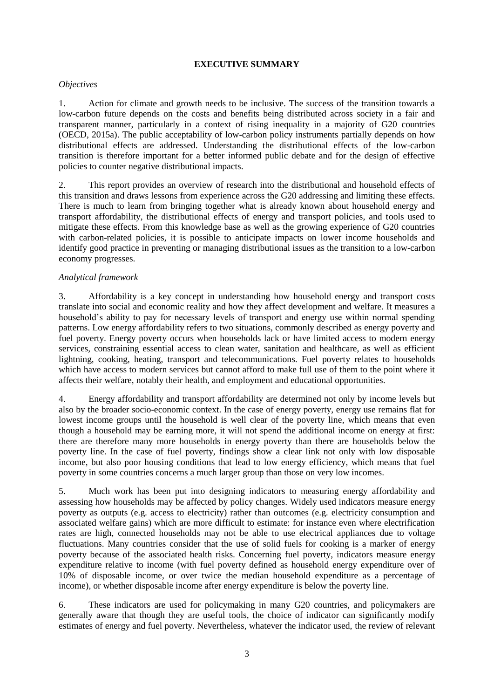#### **EXECUTIVE SUMMARY**

#### *Objectives*

1. Action for climate and growth needs to be inclusive. The success of the transition towards a low-carbon future depends on the costs and benefits being distributed across society in a fair and transparent manner, particularly in a context of rising inequality in a majority of G20 countries (OECD, 2015a). The public acceptability of low-carbon policy instruments partially depends on how distributional effects are addressed. Understanding the distributional effects of the low-carbon transition is therefore important for a better informed public debate and for the design of effective policies to counter negative distributional impacts.

2. This report provides an overview of research into the distributional and household effects of this transition and draws lessons from experience across the G20 addressing and limiting these effects. There is much to learn from bringing together what is already known about household energy and transport affordability, the distributional effects of energy and transport policies, and tools used to mitigate these effects. From this knowledge base as well as the growing experience of G20 countries with carbon-related policies, it is possible to anticipate impacts on lower income households and identify good practice in preventing or managing distributional issues as the transition to a low-carbon economy progresses.

#### *Analytical framework*

3. Affordability is a key concept in understanding how household energy and transport costs translate into social and economic reality and how they affect development and welfare. It measures a household's ability to pay for necessary levels of transport and energy use within normal spending patterns. Low energy affordability refers to two situations, commonly described as energy poverty and fuel poverty. Energy poverty occurs when households lack or have limited access to modern energy services, constraining essential access to clean water, sanitation and healthcare, as well as efficient lightning, cooking, heating, transport and telecommunications. Fuel poverty relates to households which have access to modern services but cannot afford to make full use of them to the point where it affects their welfare, notably their health, and employment and educational opportunities.

4. Energy affordability and transport affordability are determined not only by income levels but also by the broader socio-economic context. In the case of energy poverty, energy use remains flat for lowest income groups until the household is well clear of the poverty line, which means that even though a household may be earning more, it will not spend the additional income on energy at first: there are therefore many more households in energy poverty than there are households below the poverty line. In the case of fuel poverty, findings show a clear link not only with low disposable income, but also poor housing conditions that lead to low energy efficiency, which means that fuel poverty in some countries concerns a much larger group than those on very low incomes.

5. Much work has been put into designing indicators to measuring energy affordability and assessing how households may be affected by policy changes. Widely used indicators measure energy poverty as outputs (e.g. access to electricity) rather than outcomes (e.g. electricity consumption and associated welfare gains) which are more difficult to estimate: for instance even where electrification rates are high, connected households may not be able to use electrical appliances due to voltage fluctuations. Many countries consider that the use of solid fuels for cooking is a marker of energy poverty because of the associated health risks. Concerning fuel poverty, indicators measure energy expenditure relative to income (with fuel poverty defined as household energy expenditure over of 10% of disposable income, or over twice the median household expenditure as a percentage of income), or whether disposable income after energy expenditure is below the poverty line.

6. These indicators are used for policymaking in many G20 countries, and policymakers are generally aware that though they are useful tools, the choice of indicator can significantly modify estimates of energy and fuel poverty. Nevertheless, whatever the indicator used, the review of relevant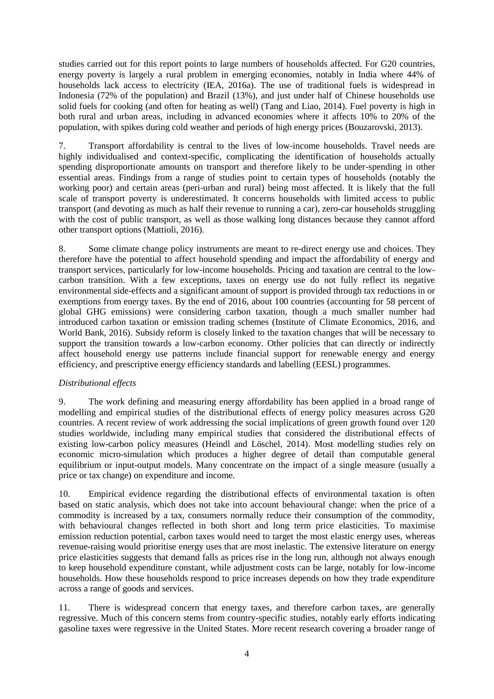studies carried out for this report points to large numbers of households affected. For G20 countries, energy poverty is largely a rural problem in emerging economies, notably in India where 44% of households lack access to electricity (IEA, 2016a). The use of traditional fuels is widespread in Indonesia (72% of the population) and Brazil (13%), and just under half of Chinese households use solid fuels for cooking (and often for heating as well) (Tang and Liao, 2014). Fuel poverty is high in both rural and urban areas, including in advanced economies where it affects 10% to 20% of the population, with spikes during cold weather and periods of high energy prices (Bouzarovski, 2013).

7. Transport affordability is central to the lives of low-income households. Travel needs are highly individualised and context-specific, complicating the identification of households actually spending disproportionate amounts on transport and therefore likely to be under-spending in other essential areas. Findings from a range of studies point to certain types of households (notably the working poor) and certain areas (peri-urban and rural) being most affected. It is likely that the full scale of transport poverty is underestimated. It concerns households with limited access to public transport (and devoting as much as half their revenue to running a car), zero-car households struggling with the cost of public transport, as well as those walking long distances because they cannot afford other transport options (Mattioli, 2016).

8. Some climate change policy instruments are meant to re-direct energy use and choices. They therefore have the potential to affect household spending and impact the affordability of energy and transport services, particularly for low-income households. Pricing and taxation are central to the lowcarbon transition. With a few exceptions, taxes on energy use do not fully reflect its negative environmental side-effects and a significant amount of support is provided through tax reductions in or exemptions from energy taxes. By the end of 2016, about 100 countries (accounting for 58 percent of global GHG emissions) were considering carbon taxation, though a much smaller number had introduced carbon taxation or emission trading schemes (Institute of Climate Economics, 2016, and World Bank, 2016). Subsidy reform is closely linked to the taxation changes that will be necessary to support the transition towards a low-carbon economy. Other policies that can directly or indirectly affect household energy use patterns include financial support for renewable energy and energy efficiency, and prescriptive energy efficiency standards and labelling (EESL) programmes.

## *Distributional effects*

9. The work defining and measuring energy affordability has been applied in a broad range of modelling and empirical studies of the distributional effects of energy policy measures across G20 countries. A recent review of work addressing the social implications of green growth found over 120 studies worldwide, including many empirical studies that considered the distributional effects of existing low-carbon policy measures (Heindl and Löschel, 2014). Most modelling studies rely on economic micro-simulation which produces a higher degree of detail than computable general equilibrium or input-output models. Many concentrate on the impact of a single measure (usually a price or tax change) on expenditure and income.

10. Empirical evidence regarding the distributional effects of environmental taxation is often based on static analysis, which does not take into account behavioural change: when the price of a commodity is increased by a tax, consumers normally reduce their consumption of the commodity, with behavioural changes reflected in both short and long term price elasticities. To maximise emission reduction potential, carbon taxes would need to target the most elastic energy uses, whereas revenue-raising would prioritise energy uses that are most inelastic. The extensive literature on energy price elasticities suggests that demand falls as prices rise in the long run, although not always enough to keep household expenditure constant, while adjustment costs can be large, notably for low-income households. How these households respond to price increases depends on how they trade expenditure across a range of goods and services.

11. There is widespread concern that energy taxes, and therefore carbon taxes, are generally regressive. Much of this concern stems from country-specific studies, notably early efforts indicating gasoline taxes were regressive in the United States. More recent research covering a broader range of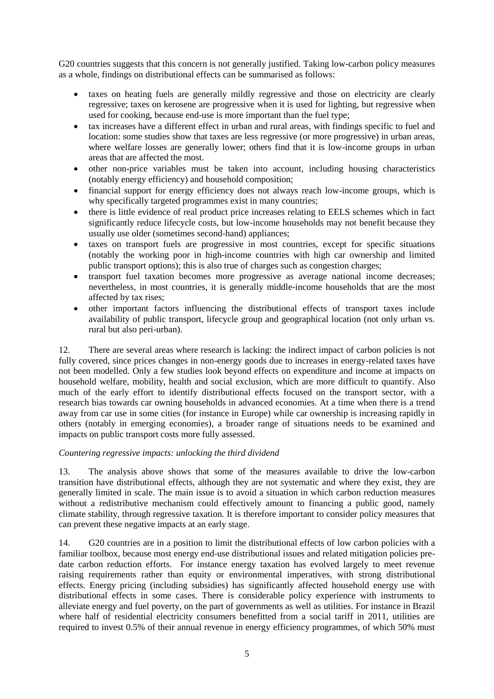G20 countries suggests that this concern is not generally justified. Taking low-carbon policy measures as a whole, findings on distributional effects can be summarised as follows:

- taxes on heating fuels are generally mildly regressive and those on electricity are clearly regressive; taxes on kerosene are progressive when it is used for lighting, but regressive when used for cooking, because end-use is more important than the fuel type;
- tax increases have a different effect in urban and rural areas, with findings specific to fuel and location: some studies show that taxes are less regressive (or more progressive) in urban areas, where welfare losses are generally lower; others find that it is low-income groups in urban areas that are affected the most.
- other non-price variables must be taken into account, including housing characteristics (notably energy efficiency) and household composition;
- financial support for energy efficiency does not always reach low-income groups, which is why specifically targeted programmes exist in many countries;
- there is little evidence of real product price increases relating to EELS schemes which in fact significantly reduce lifecycle costs, but low-income households may not benefit because they usually use older (sometimes second-hand) appliances;
- taxes on transport fuels are progressive in most countries, except for specific situations (notably the working poor in high-income countries with high car ownership and limited public transport options); this is also true of charges such as congestion charges;
- transport fuel taxation becomes more progressive as average national income decreases; nevertheless, in most countries, it is generally middle-income households that are the most affected by tax rises;
- other important factors influencing the distributional effects of transport taxes include availability of public transport, lifecycle group and geographical location (not only urban vs. rural but also peri-urban).

12. There are several areas where research is lacking: the indirect impact of carbon policies is not fully covered, since prices changes in non-energy goods due to increases in energy-related taxes have not been modelled. Only a few studies look beyond effects on expenditure and income at impacts on household welfare, mobility, health and social exclusion, which are more difficult to quantify. Also much of the early effort to identify distributional effects focused on the transport sector, with a research bias towards car owning households in advanced economies. At a time when there is a trend away from car use in some cities (for instance in Europe) while car ownership is increasing rapidly in others (notably in emerging economies), a broader range of situations needs to be examined and impacts on public transport costs more fully assessed.

## *Countering regressive impacts: unlocking the third dividend*

13. The analysis above shows that some of the measures available to drive the low-carbon transition have distributional effects, although they are not systematic and where they exist, they are generally limited in scale. The main issue is to avoid a situation in which carbon reduction measures without a redistributive mechanism could effectively amount to financing a public good, namely climate stability, through regressive taxation. It is therefore important to consider policy measures that can prevent these negative impacts at an early stage.

14. G20 countries are in a position to limit the distributional effects of low carbon policies with a familiar toolbox, because most energy end-use distributional issues and related mitigation policies predate carbon reduction efforts. For instance energy taxation has evolved largely to meet revenue raising requirements rather than equity or environmental imperatives, with strong distributional effects. Energy pricing (including subsidies) has significantly affected household energy use with distributional effects in some cases. There is considerable policy experience with instruments to alleviate energy and fuel poverty, on the part of governments as well as utilities. For instance in Brazil where half of residential electricity consumers benefitted from a social tariff in 2011, utilities are required to invest 0.5% of their annual revenue in energy efficiency programmes, of which 50% must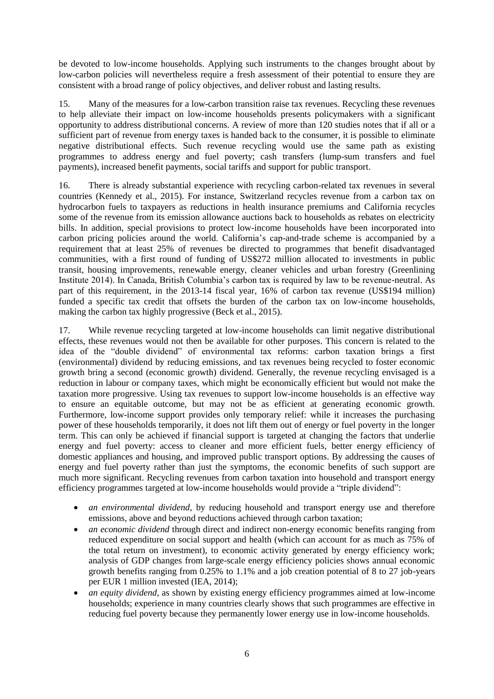be devoted to low-income households. Applying such instruments to the changes brought about by low-carbon policies will nevertheless require a fresh assessment of their potential to ensure they are consistent with a broad range of policy objectives, and deliver robust and lasting results.

15. Many of the measures for a low-carbon transition raise tax revenues. Recycling these revenues to help alleviate their impact on low-income households presents policymakers with a significant opportunity to address distributional concerns. A review of more than 120 studies notes that if all or a sufficient part of revenue from energy taxes is handed back to the consumer, it is possible to eliminate negative distributional effects. Such revenue recycling would use the same path as existing programmes to address energy and fuel poverty; cash transfers (lump-sum transfers and fuel payments), increased benefit payments, social tariffs and support for public transport.

16. There is already substantial experience with recycling carbon-related tax revenues in several countries (Kennedy et al., 2015). For instance, Switzerland recycles revenue from a carbon tax on hydrocarbon fuels to taxpayers as reductions in health insurance premiums and California recycles some of the revenue from its emission allowance auctions back to households as rebates on electricity bills. In addition, special provisions to protect low-income households have been incorporated into carbon pricing policies around the world. California's cap-and-trade scheme is accompanied by a requirement that at least 25% of revenues be directed to programmes that benefit disadvantaged communities, with a first round of funding of US\$272 million allocated to investments in public transit, housing improvements, renewable energy, cleaner vehicles and urban forestry (Greenlining Institute 2014). In Canada, British Columbia's carbon tax is required by law to be revenue-neutral. As part of this requirement, in the 2013-14 fiscal year, 16% of carbon tax revenue (US\$194 million) funded a specific tax credit that offsets the burden of the carbon tax on low-income households, making the carbon tax highly progressive (Beck et al., 2015).

17. While revenue recycling targeted at low-income households can limit negative distributional effects, these revenues would not then be available for other purposes. This concern is related to the idea of the "double dividend" of environmental tax reforms: carbon taxation brings a first (environmental) dividend by reducing emissions, and tax revenues being recycled to foster economic growth bring a second (economic growth) dividend. Generally, the revenue recycling envisaged is a reduction in labour or company taxes, which might be economically efficient but would not make the taxation more progressive. Using tax revenues to support low-income households is an effective way to ensure an equitable outcome, but may not be as efficient at generating economic growth. Furthermore, low-income support provides only temporary relief: while it increases the purchasing power of these households temporarily, it does not lift them out of energy or fuel poverty in the longer term. This can only be achieved if financial support is targeted at changing the factors that underlie energy and fuel poverty: access to cleaner and more efficient fuels, better energy efficiency of domestic appliances and housing, and improved public transport options. By addressing the causes of energy and fuel poverty rather than just the symptoms, the economic benefits of such support are much more significant. Recycling revenues from carbon taxation into household and transport energy efficiency programmes targeted at low-income households would provide a "triple dividend":

- *an environmental dividend*, by reducing household and transport energy use and therefore emissions, above and beyond reductions achieved through carbon taxation;
- *an economic dividend* through direct and indirect non-energy economic benefits ranging from reduced expenditure on social support and health (which can account for as much as 75% of the total return on investment), to economic activity generated by energy efficiency work; analysis of GDP changes from large-scale energy efficiency policies shows annual economic growth benefits ranging from 0.25% to 1.1% and a job creation potential of 8 to 27 job-years per EUR 1 million invested (IEA, 2014);
- *an equity dividend,* as shown by existing energy efficiency programmes aimed at low-income households; experience in many countries clearly shows that such programmes are effective in reducing fuel poverty because they permanently lower energy use in low-income households.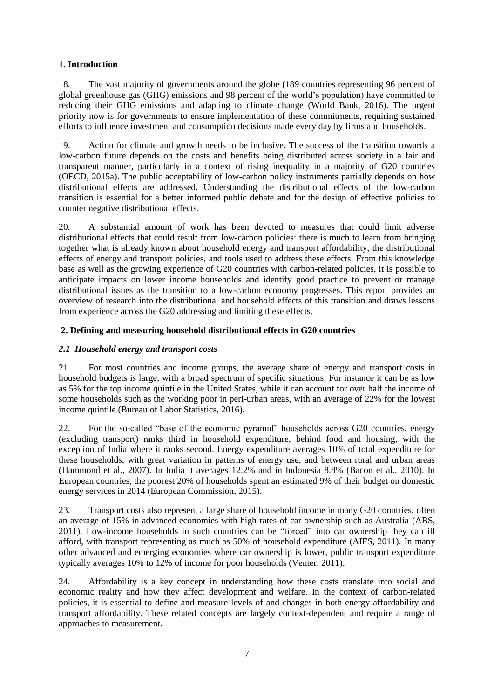## **1. Introduction**

18. The vast majority of governments around the globe (189 countries representing 96 percent of global greenhouse gas (GHG) emissions and 98 percent of the world's population) have committed to reducing their GHG emissions and adapting to climate change (World Bank, 2016). The urgent priority now is for governments to ensure implementation of these commitments, requiring sustained efforts to influence investment and consumption decisions made every day by firms and households.

19. Action for climate and growth needs to be inclusive. The success of the transition towards a low-carbon future depends on the costs and benefits being distributed across society in a fair and transparent manner, particularly in a context of rising inequality in a majority of G20 countries (OECD, 2015a). The public acceptability of low-carbon policy instruments partially depends on how distributional effects are addressed. Understanding the distributional effects of the low-carbon transition is essential for a better informed public debate and for the design of effective policies to counter negative distributional effects.

20. A substantial amount of work has been devoted to measures that could limit adverse distributional effects that could result from low-carbon policies: there is much to learn from bringing together what is already known about household energy and transport affordability, the distributional effects of energy and transport policies, and tools used to address these effects. From this knowledge base as well as the growing experience of G20 countries with carbon-related policies, it is possible to anticipate impacts on lower income households and identify good practice to prevent or manage distributional issues as the transition to a low-carbon economy progresses. This report provides an overview of research into the distributional and household effects of this transition and draws lessons from experience across the G20 addressing and limiting these effects.

## **2. Defining and measuring household distributional effects in G20 countries**

## *2.1 Household energy and transport costs*

21. For most countries and income groups, the average share of energy and transport costs in household budgets is large, with a broad spectrum of specific situations. For instance it can be as low as 5% for the top income quintile in the United States, while it can account for over half the income of some households such as the working poor in peri-urban areas, with an average of 22% for the lowest income quintile (Bureau of Labor Statistics, 2016).

22. For the so-called "base of the economic pyramid" households across G20 countries, energy (excluding transport) ranks third in household expenditure, behind food and housing, with the exception of India where it ranks second. Energy expenditure averages 10% of total expenditure for these households, with great variation in patterns of energy use, and between rural and urban areas (Hammond et al., 2007). In India it averages 12.2% and in Indonesia 8.8% (Bacon et al., 2010). In European countries, the poorest 20% of households spent an estimated 9% of their budget on domestic energy services in 2014 (European Commission, 2015).

23. Transport costs also represent a large share of household income in many G20 countries, often an average of 15% in advanced economies with high rates of car ownership such as Australia (ABS, 2011). Low-income households in such countries can be "forced" into car ownership they can ill afford, with transport representing as much as 50% of household expenditure (AIFS, 2011). In many other advanced and emerging economies where car ownership is lower, public transport expenditure typically averages 10% to 12% of income for poor households (Venter, 2011).

24. Affordability is a key concept in understanding how these costs translate into social and economic reality and how they affect development and welfare. In the context of carbon-related policies, it is essential to define and measure levels of and changes in both energy affordability and transport affordability. These related concepts are largely context-dependent and require a range of approaches to measurement.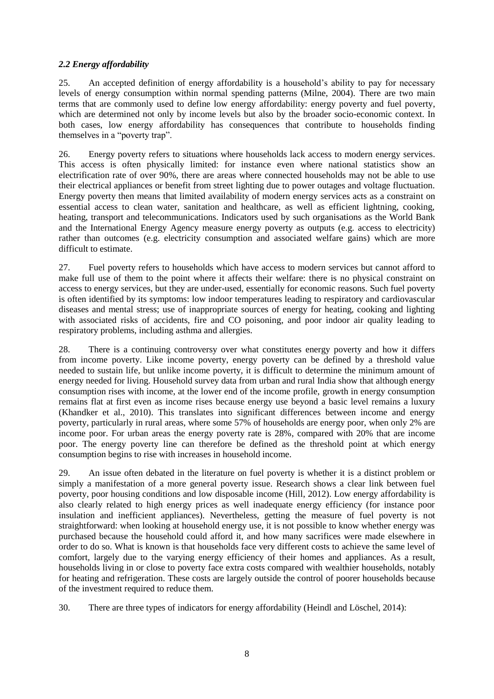## *2.2 Energy affordability*

25. An accepted definition of energy affordability is a household's ability to pay for necessary levels of energy consumption within normal spending patterns (Milne, 2004). There are two main terms that are commonly used to define low energy affordability: energy poverty and fuel poverty, which are determined not only by income levels but also by the broader socio-economic context. In both cases, low energy affordability has consequences that contribute to households finding themselves in a "poverty trap".

26. Energy poverty refers to situations where households lack access to modern energy services. This access is often physically limited: for instance even where national statistics show an electrification rate of over 90%, there are areas where connected households may not be able to use their electrical appliances or benefit from street lighting due to power outages and voltage fluctuation. Energy poverty then means that limited availability of modern energy services acts as a constraint on essential access to clean water, sanitation and healthcare, as well as efficient lightning, cooking, heating, transport and telecommunications. Indicators used by such organisations as the World Bank and the International Energy Agency measure energy poverty as outputs (e.g. access to electricity) rather than outcomes (e.g. electricity consumption and associated welfare gains) which are more difficult to estimate.

27. Fuel poverty refers to households which have access to modern services but cannot afford to make full use of them to the point where it affects their welfare: there is no physical constraint on access to energy services, but they are under-used, essentially for economic reasons. Such fuel poverty is often identified by its symptoms: low indoor temperatures leading to respiratory and cardiovascular diseases and mental stress; use of inappropriate sources of energy for heating, cooking and lighting with associated risks of accidents, fire and CO poisoning, and poor indoor air quality leading to respiratory problems, including asthma and allergies.

28. There is a continuing controversy over what constitutes energy poverty and how it differs from income poverty. Like income poverty, energy poverty can be defined by a threshold value needed to sustain life, but unlike income poverty, it is difficult to determine the minimum amount of energy needed for living. Household survey data from urban and rural India show that although energy consumption rises with income, at the lower end of the income profile, growth in energy consumption remains flat at first even as income rises because energy use beyond a basic level remains a luxury (Khandker et al., 2010). This translates into significant differences between income and energy poverty, particularly in rural areas, where some 57% of households are energy poor, when only 2% are income poor. For urban areas the energy poverty rate is 28%, compared with 20% that are income poor. The energy poverty line can therefore be defined as the threshold point at which energy consumption begins to rise with increases in household income.

29. An issue often debated in the literature on fuel poverty is whether it is a distinct problem or simply a manifestation of a more general poverty issue. Research shows a clear link between fuel poverty, poor housing conditions and low disposable income (Hill, 2012). Low energy affordability is also clearly related to high energy prices as well inadequate energy efficiency (for instance poor insulation and inefficient appliances). Nevertheless, getting the measure of fuel poverty is not straightforward: when looking at household energy use, it is not possible to know whether energy was purchased because the household could afford it, and how many sacrifices were made elsewhere in order to do so. What is known is that households face very different costs to achieve the same level of comfort, largely due to the varying energy efficiency of their homes and appliances. As a result, households living in or close to poverty face extra costs compared with wealthier households, notably for heating and refrigeration. These costs are largely outside the control of poorer households because of the investment required to reduce them.

30. There are three types of indicators for energy affordability (Heindl and Löschel, 2014):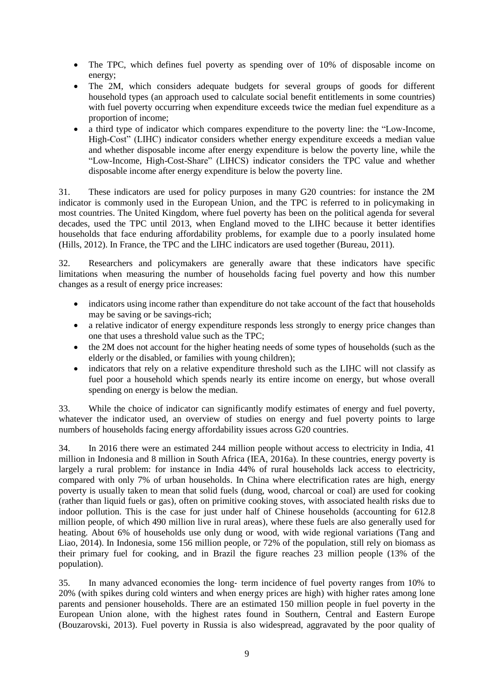- The TPC, which defines fuel poverty as spending over of 10% of disposable income on energy;
- The 2M, which considers adequate budgets for several groups of goods for different household types (an approach used to calculate social benefit entitlements in some countries) with fuel poverty occurring when expenditure exceeds twice the median fuel expenditure as a proportion of income;
- a third type of indicator which compares expenditure to the poverty line: the "Low-Income, High-Cost" (LIHC) indicator considers whether energy expenditure exceeds a median value and whether disposable income after energy expenditure is below the poverty line, while the "Low-Income, High-Cost-Share" (LIHCS) indicator considers the TPC value and whether disposable income after energy expenditure is below the poverty line.

31. These indicators are used for policy purposes in many G20 countries: for instance the 2M indicator is commonly used in the European Union, and the TPC is referred to in policymaking in most countries. The United Kingdom, where fuel poverty has been on the political agenda for several decades, used the TPC until 2013, when England moved to the LIHC because it better identifies households that face enduring affordability problems, for example due to a poorly insulated home (Hills, 2012). In France, the TPC and the LIHC indicators are used together (Bureau, 2011).

32. Researchers and policymakers are generally aware that these indicators have specific limitations when measuring the number of households facing fuel poverty and how this number changes as a result of energy price increases:

- indicators using income rather than expenditure do not take account of the fact that households may be saving or be savings-rich;
- a relative indicator of energy expenditure responds less strongly to energy price changes than one that uses a threshold value such as the TPC;
- the 2M does not account for the higher heating needs of some types of households (such as the elderly or the disabled, or families with young children);
- indicators that rely on a relative expenditure threshold such as the LIHC will not classify as fuel poor a household which spends nearly its entire income on energy, but whose overall spending on energy is below the median.

33. While the choice of indicator can significantly modify estimates of energy and fuel poverty, whatever the indicator used, an overview of studies on energy and fuel poverty points to large numbers of households facing energy affordability issues across G20 countries.

34. In 2016 there were an estimated 244 million people without access to electricity in India, 41 million in Indonesia and 8 million in South Africa (IEA, 2016a). In these countries, energy poverty is largely a rural problem: for instance in India 44% of rural households lack access to electricity, compared with only 7% of urban households. In China where electrification rates are high, energy poverty is usually taken to mean that solid fuels (dung, wood, charcoal or coal) are used for cooking (rather than liquid fuels or gas), often on primitive cooking stoves, with associated health risks due to indoor pollution. This is the case for just under half of Chinese households (accounting for 612.8 million people, of which 490 million live in rural areas), where these fuels are also generally used for heating. About 6% of households use only dung or wood, with wide regional variations (Tang and Liao, 2014). In Indonesia, some 156 million people, or 72% of the population, still rely on biomass as their primary fuel for cooking, and in Brazil the figure reaches 23 million people (13% of the population).

35. In many advanced economies the long‐ term incidence of fuel poverty ranges from 10% to 20% (with spikes during cold winters and when energy prices are high) with higher rates among lone parents and pensioner households. There are an estimated 150 million people in fuel poverty in the European Union alone, with the highest rates found in Southern, Central and Eastern Europe (Bouzarovski, 2013). Fuel poverty in Russia is also widespread, aggravated by the poor quality of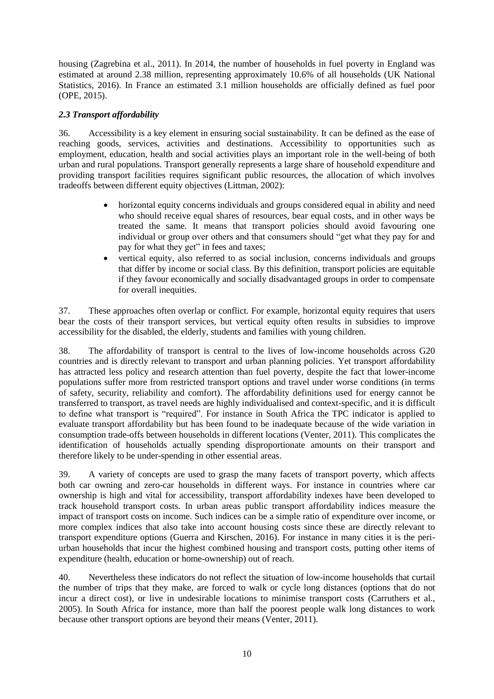housing (Zagrebina et al., 2011). In 2014, the number of households in fuel poverty in England was estimated at around 2.38 million, representing approximately 10.6% of all households (UK National Statistics, 2016). In France an estimated 3.1 million households are officially defined as fuel poor (OPE, 2015).

## *2.3 Transport affordability*

36. Accessibility is a key element in ensuring social sustainability. It can be defined as the ease of reaching goods, services, activities and destinations. Accessibility to opportunities such as employment, education, health and social activities plays an important role in the well-being of both urban and rural populations. Transport generally represents a large share of household expenditure and providing transport facilities requires significant public resources, the allocation of which involves tradeoffs between different equity objectives (Littman, 2002):

- horizontal equity concerns individuals and groups considered equal in ability and need who should receive equal shares of resources, bear equal costs, and in other ways be treated the same. It means that transport policies should avoid favouring one individual or group over others and that consumers should "get what they pay for and pay for what they get" in fees and taxes;
- vertical equity, also referred to as social inclusion, concerns individuals and groups that differ by income or social class. By this definition, transport policies are equitable if they favour economically and socially disadvantaged groups in order to compensate for overall inequities.

37. These approaches often overlap or conflict. For example, horizontal equity requires that users bear the costs of their transport services, but vertical equity often results in subsidies to improve accessibility for the disabled, the elderly, students and families with young children.

38. The affordability of transport is central to the lives of low-income households across G20 countries and is directly relevant to transport and urban planning policies. Yet transport affordability has attracted less policy and research attention than fuel poverty, despite the fact that lower-income populations suffer more from restricted transport options and travel under worse conditions (in terms of safety, security, reliability and comfort). The affordability definitions used for energy cannot be transferred to transport, as travel needs are highly individualised and context-specific, and it is difficult to define what transport is "required". For instance in South Africa the TPC indicator is applied to evaluate transport affordability but has been found to be inadequate because of the wide variation in consumption trade-offs between households in different locations (Venter, 2011). This complicates the identification of households actually spending disproportionate amounts on their transport and therefore likely to be under-spending in other essential areas.

39. A variety of concepts are used to grasp the many facets of transport poverty, which affects both car owning and zero-car households in different ways. For instance in countries where car ownership is high and vital for accessibility, transport affordability indexes have been developed to track household transport costs. In urban areas public transport affordability indices measure the impact of transport costs on income. Such indices can be a simple ratio of expenditure over income, or more complex indices that also take into account housing costs since these are directly relevant to transport expenditure options (Guerra and Kirschen, 2016). For instance in many cities it is the periurban households that incur the highest combined housing and transport costs, putting other items of expenditure (health, education or home-ownership) out of reach.

40. Nevertheless these indicators do not reflect the situation of low-income households that curtail the number of trips that they make, are forced to walk or cycle long distances (options that do not incur a direct cost), or live in undesirable locations to minimise transport costs (Carruthers et al., 2005). In South Africa for instance, more than half the poorest people walk long distances to work because other transport options are beyond their means (Venter, 2011).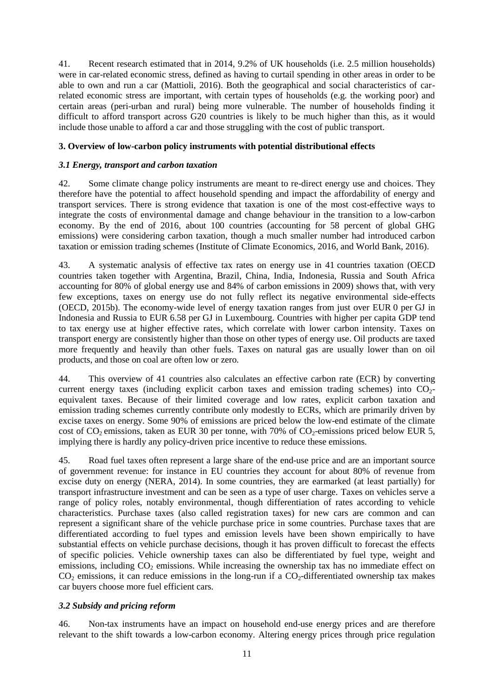41. Recent research estimated that in 2014, 9.2% of UK households (i.e. 2.5 million households) were in car-related economic stress, defined as having to curtail spending in other areas in order to be able to own and run a car (Mattioli, 2016). Both the geographical and social characteristics of carrelated economic stress are important, with certain types of households (e.g. the working poor) and certain areas (peri-urban and rural) being more vulnerable. The number of households finding it difficult to afford transport across G20 countries is likely to be much higher than this, as it would include those unable to afford a car and those struggling with the cost of public transport.

#### **3. Overview of low-carbon policy instruments with potential distributional effects**

#### *3.1 Energy, transport and carbon taxation*

42. Some climate change policy instruments are meant to re-direct energy use and choices. They therefore have the potential to affect household spending and impact the affordability of energy and transport services. There is strong evidence that taxation is one of the most cost-effective ways to integrate the costs of environmental damage and change behaviour in the transition to a low-carbon economy. By the end of 2016, about 100 countries (accounting for 58 percent of global GHG emissions) were considering carbon taxation, though a much smaller number had introduced carbon taxation or emission trading schemes (Institute of Climate Economics, 2016, and World Bank, 2016).

43. A systematic analysis of effective tax rates on energy use in 41 countries taxation (OECD countries taken together with Argentina, Brazil, China, India, Indonesia, Russia and South Africa accounting for 80% of global energy use and 84% of carbon emissions in 2009) shows that, with very few exceptions, taxes on energy use do not fully reflect its negative environmental side-effects (OECD, 2015b). The economy-wide level of energy taxation ranges from just over EUR 0 per GJ in Indonesia and Russia to EUR 6.58 per GJ in Luxembourg. Countries with higher per capita GDP tend to tax energy use at higher effective rates, which correlate with lower carbon intensity. Taxes on transport energy are consistently higher than those on other types of energy use. Oil products are taxed more frequently and heavily than other fuels. Taxes on natural gas are usually lower than on oil products, and those on coal are often low or zero.

44. This overview of 41 countries also calculates an effective carbon rate (ECR) by converting current energy taxes (including explicit carbon taxes and emission trading schemes) into  $CO<sub>2</sub>$ equivalent taxes. Because of their limited coverage and low rates, explicit carbon taxation and emission trading schemes currently contribute only modestly to ECRs, which are primarily driven by excise taxes on energy. Some 90% of emissions are priced below the low-end estimate of the climate cost of  $CO_2$  emissions, taken as EUR 30 per tonne, with 70% of  $CO_2$ -emissions priced below EUR 5, implying there is hardly any policy-driven price incentive to reduce these emissions.

45. Road fuel taxes often represent a large share of the end-use price and are an important source of government revenue: for instance in EU countries they account for about 80% of revenue from excise duty on energy (NERA, 2014). In some countries, they are earmarked (at least partially) for transport infrastructure investment and can be seen as a type of user charge. Taxes on vehicles serve a range of policy roles, notably environmental, though differentiation of rates according to vehicle characteristics. Purchase taxes (also called registration taxes) for new cars are common and can represent a significant share of the vehicle purchase price in some countries. Purchase taxes that are differentiated according to fuel types and emission levels have been shown empirically to have substantial effects on vehicle purchase decisions, though it has proven difficult to forecast the effects of specific policies. Vehicle ownership taxes can also be differentiated by fuel type, weight and emissions, including  $CO<sub>2</sub>$  emissions. While increasing the ownership tax has no immediate effect on  $CO<sub>2</sub>$  emissions, it can reduce emissions in the long-run if a  $CO<sub>2</sub>$ -differentiated ownership tax makes car buyers choose more fuel efficient cars.

## *3.2 Subsidy and pricing reform*

46. Non-tax instruments have an impact on household end-use energy prices and are therefore relevant to the shift towards a low-carbon economy. Altering energy prices through price regulation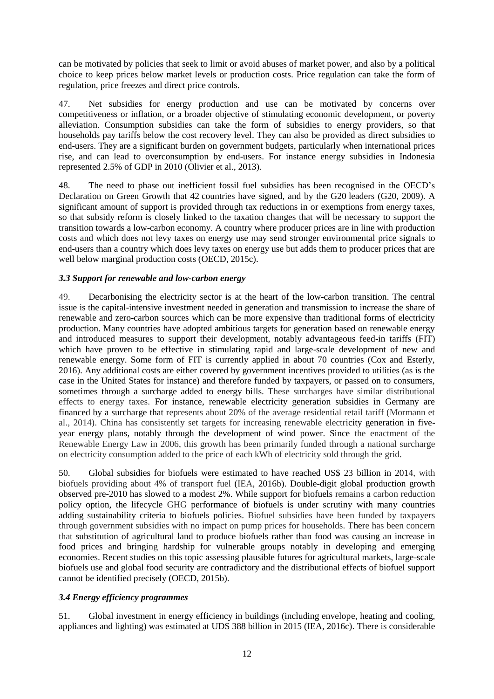can be motivated by policies that seek to limit or avoid abuses of market power, and also by a political choice to keep prices below market levels or production costs. Price regulation can take the form of regulation, price freezes and direct price controls.

47. Net subsidies for energy production and use can be motivated by concerns over competitiveness or inflation, or a broader objective of stimulating economic development, or poverty alleviation. Consumption subsidies can take the form of subsidies to energy providers, so that households pay tariffs below the cost recovery level. They can also be provided as direct subsidies to end-users. They are a significant burden on government budgets, particularly when international prices rise, and can lead to overconsumption by end-users. For instance energy subsidies in Indonesia represented 2.5% of GDP in 2010 (Olivier et al., 2013).

48. The need to phase out inefficient fossil fuel subsidies has been recognised in the OECD's Declaration on Green Growth that 42 countries have signed, and by the G20 leaders (G20, 2009). A significant amount of support is provided through tax reductions in or exemptions from energy taxes, so that subsidy reform is closely linked to the taxation changes that will be necessary to support the transition towards a low-carbon economy. A country where producer prices are in line with production costs and which does not levy taxes on energy use may send stronger environmental price signals to end-users than a country which does levy taxes on energy use but adds them to producer prices that are well below marginal production costs (OECD, 2015c).

## *3.3 Support for renewable and low-carbon energy*

49. Decarbonising the electricity sector is at the heart of the low-carbon transition. The central issue is the capital-intensive investment needed in generation and transmission to increase the share of renewable and zero-carbon sources which can be more expensive than traditional forms of electricity production. Many countries have adopted ambitious targets for generation based on renewable energy and introduced measures to support their development, notably advantageous feed-in tariffs (FIT) which have proven to be effective in stimulating rapid and large-scale development of new and renewable energy. Some form of FIT is currently applied in about 70 countries (Cox and Esterly, 2016). Any additional costs are either covered by government incentives provided to utilities (as is the case in the United States for instance) and therefore funded by taxpayers, or passed on to consumers, sometimes through a surcharge added to energy bills. These surcharges have similar distributional effects to energy taxes. For instance, renewable electricity generation subsidies in Germany are financed by a surcharge that represents about 20% of the average residential retail tariff (Mormann et al., 2014). China has consistently set targets for increasing renewable electricity generation in fiveyear energy plans, notably through the development of wind power. Since the enactment of the Renewable Energy Law in 2006, this growth has been primarily funded through a national surcharge on electricity consumption added to the price of each kWh of electricity sold through the grid.

50. Global subsidies for biofuels were estimated to have reached US\$ 23 billion in 2014, with biofuels providing about 4% of transport fuel (IEA, 2016b). Double-digit global production growth observed pre-2010 has slowed to a modest 2%. While support for biofuels remains a carbon reduction policy option, the lifecycle GHG performance of biofuels is under scrutiny with many countries adding sustainability criteria to biofuels policies. Biofuel subsidies have been funded by taxpayers through government subsidies with no impact on pump prices for households. There has been concern that substitution of agricultural land to produce biofuels rather than food was causing an increase in food prices and bringing hardship for vulnerable groups notably in developing and emerging economies. Recent studies on this topic assessing plausible futures for agricultural markets, large-scale biofuels use and global food security are contradictory and the distributional effects of biofuel support cannot be identified precisely (OECD, 2015b).

## *3.4 Energy efficiency programmes*

51. Global investment in energy efficiency in buildings (including envelope, heating and cooling, appliances and lighting) was estimated at UDS 388 billion in 2015 (IEA, 2016c). There is considerable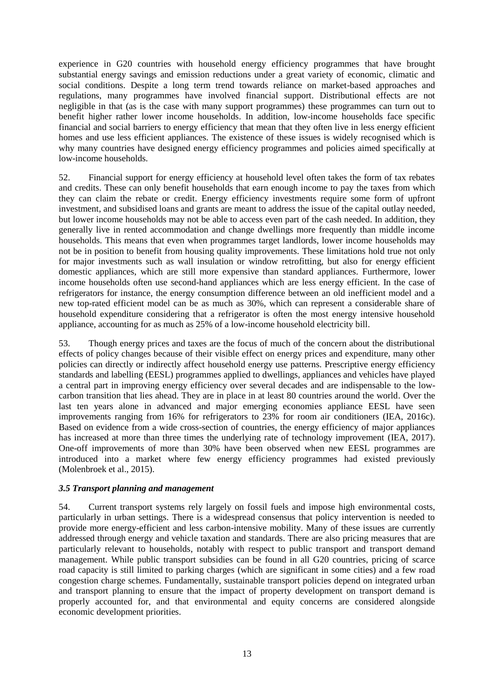experience in G20 countries with household energy efficiency programmes that have brought substantial energy savings and emission reductions under a great variety of economic, climatic and social conditions. Despite a long term trend towards reliance on market-based approaches and regulations, many programmes have involved financial support. Distributional effects are not negligible in that (as is the case with many support programmes) these programmes can turn out to benefit higher rather lower income households. In addition, low-income households face specific financial and social barriers to energy efficiency that mean that they often live in less energy efficient homes and use less efficient appliances. The existence of these issues is widely recognised which is why many countries have designed energy efficiency programmes and policies aimed specifically at low-income households.

52. Financial support for energy efficiency at household level often takes the form of tax rebates and credits. These can only benefit households that earn enough income to pay the taxes from which they can claim the rebate or credit. Energy efficiency investments require some form of upfront investment, and subsidised loans and grants are meant to address the issue of the capital outlay needed, but lower income households may not be able to access even part of the cash needed. In addition, they generally live in rented accommodation and change dwellings more frequently than middle income households. This means that even when programmes target landlords, lower income households may not be in position to benefit from housing quality improvements. These limitations hold true not only for major investments such as wall insulation or window retrofitting, but also for energy efficient domestic appliances, which are still more expensive than standard appliances. Furthermore, lower income households often use second-hand appliances which are less energy efficient. In the case of refrigerators for instance, the energy consumption difference between an old inefficient model and a new top-rated efficient model can be as much as 30%, which can represent a considerable share of household expenditure considering that a refrigerator is often the most energy intensive household appliance, accounting for as much as 25% of a low-income household electricity bill.

53. Though energy prices and taxes are the focus of much of the concern about the distributional effects of policy changes because of their visible effect on energy prices and expenditure, many other policies can directly or indirectly affect household energy use patterns. Prescriptive energy efficiency standards and labelling (EESL) programmes applied to dwellings, appliances and vehicles have played a central part in improving energy efficiency over several decades and are indispensable to the lowcarbon transition that lies ahead. They are in place in at least 80 countries around the world. Over the last ten years alone in advanced and major emerging economies appliance EESL have seen improvements ranging from 16% for refrigerators to 23% for room air conditioners (IEA, 2016c). Based on evidence from a wide cross-section of countries, the energy efficiency of major appliances has increased at more than three times the underlying rate of technology improvement (IEA, 2017). One-off improvements of more than 30% have been observed when new EESL programmes are introduced into a market where few energy efficiency programmes had existed previously (Molenbroek et al., 2015).

#### *3.5 Transport planning and management*

54. Current transport systems rely largely on fossil fuels and impose high environmental costs, particularly in urban settings. There is a widespread consensus that policy intervention is needed to provide more energy-efficient and less carbon-intensive mobility. Many of these issues are currently addressed through energy and vehicle taxation and standards. There are also pricing measures that are particularly relevant to households, notably with respect to public transport and transport demand management. While public transport subsidies can be found in all G20 countries, pricing of scarce road capacity is still limited to parking charges (which are significant in some cities) and a few road congestion charge schemes. Fundamentally, sustainable transport policies depend on integrated urban and transport planning to ensure that the impact of property development on transport demand is properly accounted for, and that environmental and equity concerns are considered alongside economic development priorities.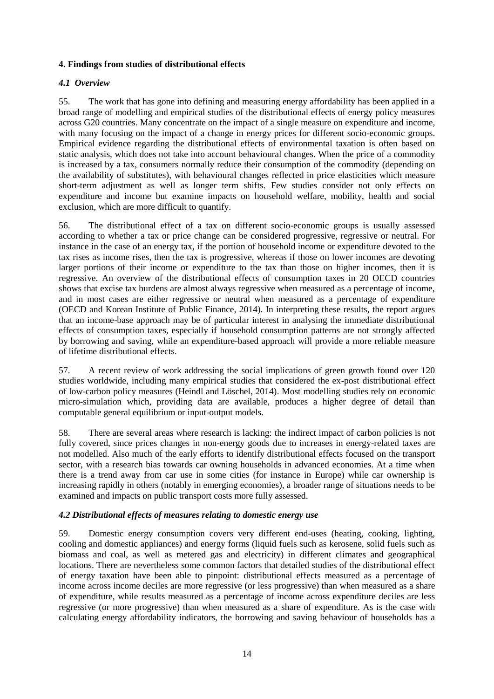## **4. Findings from studies of distributional effects**

### *4.1 Overview*

55. The work that has gone into defining and measuring energy affordability has been applied in a broad range of modelling and empirical studies of the distributional effects of energy policy measures across G20 countries. Many concentrate on the impact of a single measure on expenditure and income, with many focusing on the impact of a change in energy prices for different socio-economic groups. Empirical evidence regarding the distributional effects of environmental taxation is often based on static analysis, which does not take into account behavioural changes. When the price of a commodity is increased by a tax, consumers normally reduce their consumption of the commodity (depending on the availability of substitutes), with behavioural changes reflected in price elasticities which measure short-term adjustment as well as longer term shifts. Few studies consider not only effects on expenditure and income but examine impacts on household welfare, mobility, health and social exclusion, which are more difficult to quantify.

56. The distributional effect of a tax on different socio-economic groups is usually assessed according to whether a tax or price change can be considered progressive, regressive or neutral. For instance in the case of an energy tax, if the portion of household income or expenditure devoted to the tax rises as income rises, then the tax is progressive, whereas if those on lower incomes are devoting larger portions of their income or expenditure to the tax than those on higher incomes, then it is regressive. An overview of the distributional effects of consumption taxes in 20 OECD countries shows that excise tax burdens are almost always regressive when measured as a percentage of income, and in most cases are either regressive or neutral when measured as a percentage of expenditure (OECD and Korean Institute of Public Finance, 2014). In interpreting these results, the report argues that an income-base approach may be of particular interest in analysing the immediate distributional effects of consumption taxes, especially if household consumption patterns are not strongly affected by borrowing and saving, while an expenditure-based approach will provide a more reliable measure of lifetime distributional effects.

57. A recent review of work addressing the social implications of green growth found over 120 studies worldwide, including many empirical studies that considered the ex-post distributional effect of low-carbon policy measures (Heindl and Löschel, 2014). Most modelling studies rely on economic micro-simulation which, providing data are available, produces a higher degree of detail than computable general equilibrium or input-output models.

58. There are several areas where research is lacking: the indirect impact of carbon policies is not fully covered, since prices changes in non-energy goods due to increases in energy-related taxes are not modelled. Also much of the early efforts to identify distributional effects focused on the transport sector, with a research bias towards car owning households in advanced economies. At a time when there is a trend away from car use in some cities (for instance in Europe) while car ownership is increasing rapidly in others (notably in emerging economies), a broader range of situations needs to be examined and impacts on public transport costs more fully assessed.

#### *4.2 Distributional effects of measures relating to domestic energy use*

59. Domestic energy consumption covers very different end-uses (heating, cooking, lighting, cooling and domestic appliances) and energy forms (liquid fuels such as kerosene, solid fuels such as biomass and coal, as well as metered gas and electricity) in different climates and geographical locations. There are nevertheless some common factors that detailed studies of the distributional effect of energy taxation have been able to pinpoint: distributional effects measured as a percentage of income across income deciles are more regressive (or less progressive) than when measured as a share of expenditure, while results measured as a percentage of income across expenditure deciles are less regressive (or more progressive) than when measured as a share of expenditure. As is the case with calculating energy affordability indicators, the borrowing and saving behaviour of households has a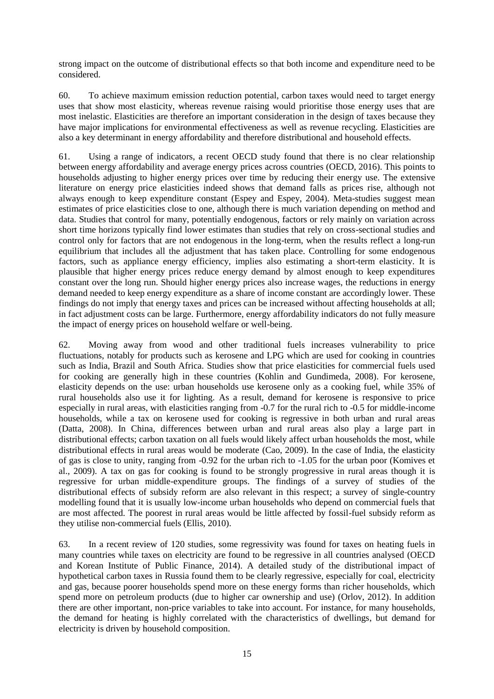strong impact on the outcome of distributional effects so that both income and expenditure need to be considered.

60. To achieve maximum emission reduction potential, carbon taxes would need to target energy uses that show most elasticity, whereas revenue raising would prioritise those energy uses that are most inelastic. Elasticities are therefore an important consideration in the design of taxes because they have major implications for environmental effectiveness as well as revenue recycling. Elasticities are also a key determinant in energy affordability and therefore distributional and household effects.

61. Using a range of indicators, a recent OECD study found that there is no clear relationship between energy affordability and average energy prices across countries (OECD, 2016). This points to households adjusting to higher energy prices over time by reducing their energy use. The extensive literature on energy price elasticities indeed shows that demand falls as prices rise, although not always enough to keep expenditure constant (Espey and Espey, 2004). Meta-studies suggest mean estimates of price elasticities close to one, although there is much variation depending on method and data. Studies that control for many, potentially endogenous, factors or rely mainly on variation across short time horizons typically find lower estimates than studies that rely on cross-sectional studies and control only for factors that are not endogenous in the long-term, when the results reflect a long-run equilibrium that includes all the adjustment that has taken place. Controlling for some endogenous factors, such as appliance energy efficiency, implies also estimating a short-term elasticity. It is plausible that higher energy prices reduce energy demand by almost enough to keep expenditures constant over the long run. Should higher energy prices also increase wages, the reductions in energy demand needed to keep energy expenditure as a share of income constant are accordingly lower. These findings do not imply that energy taxes and prices can be increased without affecting households at all; in fact adjustment costs can be large. Furthermore, energy affordability indicators do not fully measure the impact of energy prices on household welfare or well-being.

62. Moving away from wood and other traditional fuels increases vulnerability to price fluctuations, notably for products such as kerosene and LPG which are used for cooking in countries such as India, Brazil and South Africa. Studies show that price elasticities for commercial fuels used for cooking are generally high in these countries (Kohlin and Gundimeda, 2008). For kerosene, elasticity depends on the use: urban households use kerosene only as a cooking fuel, while 35% of rural households also use it for lighting. As a result, demand for kerosene is responsive to price especially in rural areas, with elasticities ranging from -0.7 for the rural rich to -0.5 for middle-income households, while a tax on kerosene used for cooking is regressive in both urban and rural areas (Datta, 2008). In China, differences between urban and rural areas also play a large part in distributional effects; carbon taxation on all fuels would likely affect urban households the most, while distributional effects in rural areas would be moderate (Cao, 2009). In the case of India, the elasticity of gas is close to unity, ranging from -0.92 for the urban rich to -1.05 for the urban poor (Komives et al., 2009). A tax on gas for cooking is found to be strongly progressive in rural areas though it is regressive for urban middle-expenditure groups. The findings of a survey of studies of the distributional effects of subsidy reform are also relevant in this respect; a survey of single-country modelling found that it is usually low-income urban households who depend on commercial fuels that are most affected. The poorest in rural areas would be little affected by fossil-fuel subsidy reform as they utilise non-commercial fuels (Ellis, 2010).

63. In a recent review of 120 studies, some regressivity was found for taxes on heating fuels in many countries while taxes on electricity are found to be regressive in all countries analysed (OECD and Korean Institute of Public Finance, 2014). A detailed study of the distributional impact of hypothetical carbon taxes in Russia found them to be clearly regressive, especially for coal, electricity and gas, because poorer households spend more on these energy forms than richer households, which spend more on petroleum products (due to higher car ownership and use) (Orlov, 2012). In addition there are other important, non-price variables to take into account. For instance, for many households, the demand for heating is highly correlated with the characteristics of dwellings, but demand for electricity is driven by household composition.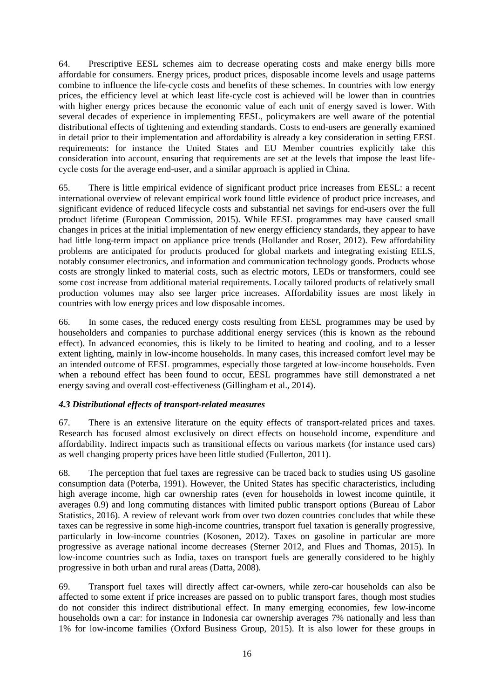64. Prescriptive EESL schemes aim to decrease operating costs and make energy bills more affordable for consumers. Energy prices, product prices, disposable income levels and usage patterns combine to influence the life-cycle costs and benefits of these schemes. In countries with low energy prices, the efficiency level at which least life-cycle cost is achieved will be lower than in countries with higher energy prices because the economic value of each unit of energy saved is lower. With several decades of experience in implementing EESL, policymakers are well aware of the potential distributional effects of tightening and extending standards. Costs to end-users are generally examined in detail prior to their implementation and affordability is already a key consideration in setting EESL requirements: for instance the United States and EU Member countries explicitly take this consideration into account, ensuring that requirements are set at the levels that impose the least lifecycle costs for the average end-user, and a similar approach is applied in China.

65. There is little empirical evidence of significant product price increases from EESL: a recent international overview of relevant empirical work found little evidence of product price increases, and significant evidence of reduced lifecycle costs and substantial net savings for end-users over the full product lifetime (European Commission, 2015). While EESL programmes may have caused small changes in prices at the initial implementation of new energy efficiency standards, they appear to have had little long-term impact on appliance price trends (Hollander and Roser, 2012). Few affordability problems are anticipated for products produced for global markets and integrating existing EELS, notably consumer electronics, and information and communication technology goods. Products whose costs are strongly linked to material costs, such as electric motors, LEDs or transformers, could see some cost increase from additional material requirements. Locally tailored products of relatively small production volumes may also see larger price increases. Affordability issues are most likely in countries with low energy prices and low disposable incomes.

66. In some cases, the reduced energy costs resulting from EESL programmes may be used by householders and companies to purchase additional energy services (this is known as the rebound effect). In advanced economies, this is likely to be limited to heating and cooling, and to a lesser extent lighting, mainly in low-income households. In many cases, this increased comfort level may be an intended outcome of EESL programmes, especially those targeted at low-income households. Even when a rebound effect has been found to occur, EESL programmes have still demonstrated a net energy saving and overall cost-effectiveness (Gillingham et al., 2014).

## *4.3 Distributional effects of transport-related measures*

67. There is an extensive literature on the equity effects of transport-related prices and taxes. Research has focused almost exclusively on direct effects on household income, expenditure and affordability. Indirect impacts such as transitional effects on various markets (for instance used cars) as well changing property prices have been little studied (Fullerton, 2011).

68. The perception that fuel taxes are regressive can be traced back to studies using US gasoline consumption data (Poterba, 1991). However, the United States has specific characteristics, including high average income, high car ownership rates (even for households in lowest income quintile, it averages 0.9) and long commuting distances with limited public transport options (Bureau of Labor Statistics, 2016). A review of relevant work from over two dozen countries concludes that while these taxes can be regressive in some high-income countries, transport fuel taxation is generally progressive, particularly in low-income countries (Kosonen, 2012). Taxes on gasoline in particular are more progressive as average national income decreases (Sterner 2012, and Flues and Thomas, 2015). In low-income countries such as India, taxes on transport fuels are generally considered to be highly progressive in both urban and rural areas (Datta, 2008).

69. Transport fuel taxes will directly affect car-owners, while zero-car households can also be affected to some extent if price increases are passed on to public transport fares, though most studies do not consider this indirect distributional effect. In many emerging economies, few low-income households own a car: for instance in Indonesia car ownership averages 7% nationally and less than 1% for low-income families (Oxford Business Group, 2015). It is also lower for these groups in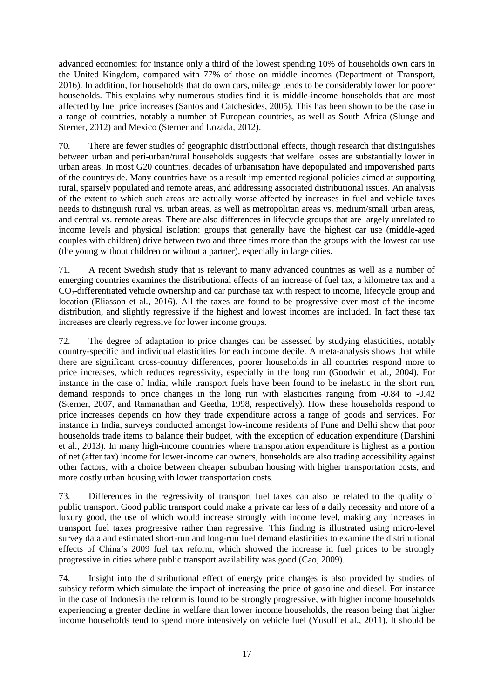advanced economies: for instance only a third of the lowest spending 10% of households own cars in the United Kingdom, compared with 77% of those on middle incomes (Department of Transport, 2016). In addition, for households that do own cars, mileage tends to be considerably lower for poorer households. This explains why numerous studies find it is middle-income households that are most affected by fuel price increases (Santos and Catchesides, 2005). This has been shown to be the case in a range of countries, notably a number of European countries, as well as South Africa (Slunge and Sterner, 2012) and Mexico (Sterner and Lozada, 2012).

70. There are fewer studies of geographic distributional effects, though research that distinguishes between urban and peri-urban/rural households suggests that welfare losses are substantially lower in urban areas. In most G20 countries, decades of urbanisation have depopulated and impoverished parts of the countryside. Many countries have as a result implemented regional policies aimed at supporting rural, sparsely populated and remote areas, and addressing associated distributional issues. An analysis of the extent to which such areas are actually worse affected by increases in fuel and vehicle taxes needs to distinguish rural vs. urban areas, as well as metropolitan areas vs. medium/small urban areas, and central vs. remote areas. There are also differences in lifecycle groups that are largely unrelated to income levels and physical isolation: groups that generally have the highest car use (middle-aged couples with children) drive between two and three times more than the groups with the lowest car use (the young without children or without a partner), especially in large cities.

71. A recent Swedish study that is relevant to many advanced countries as well as a number of emerging countries examines the distributional effects of an increase of fuel tax, a kilometre tax and a CO<sub>2</sub>-differentiated vehicle ownership and car purchase tax with respect to income, lifecycle group and location (Eliasson et al*.*, 2016). All the taxes are found to be progressive over most of the income distribution, and slightly regressive if the highest and lowest incomes are included. In fact these tax increases are clearly regressive for lower income groups.

72. The degree of adaptation to price changes can be assessed by studying elasticities, notably country-specific and individual elasticities for each income decile. A meta-analysis shows that while there are significant cross-country differences, poorer households in all countries respond more to price increases, which reduces regressivity, especially in the long run (Goodwin et al., 2004). For instance in the case of India, while transport fuels have been found to be inelastic in the short run, demand responds to price changes in the long run with elasticities ranging from -0.84 to -0.42 (Sterner, 2007, and Ramanathan and Geetha, 1998, respectively). How these households respond to price increases depends on how they trade expenditure across a range of goods and services. For instance in India, surveys conducted amongst low-income residents of Pune and Delhi show that poor households trade items to balance their budget, with the exception of education expenditure (Darshini et al., 2013). In many high-income countries where transportation expenditure is highest as a portion of net (after tax) income for lower-income car owners, households are also trading accessibility against other factors, with a choice between cheaper suburban housing with higher transportation costs, and more costly urban housing with lower transportation costs.

73. Differences in the regressivity of transport fuel taxes can also be related to the quality of public transport. Good public transport could make a private car less of a daily necessity and more of a luxury good, the use of which would increase strongly with income level, making any increases in transport fuel taxes progressive rather than regressive. This finding is illustrated using micro-level survey data and estimated short-run and long-run fuel demand elasticities to examine the distributional effects of China's 2009 fuel tax reform, which showed the increase in fuel prices to be strongly progressive in cities where public transport availability was good (Cao, 2009).

74. Insight into the distributional effect of energy price changes is also provided by studies of subsidy reform which simulate the impact of increasing the price of gasoline and diesel. For instance in the case of Indonesia the reform is found to be strongly progressive, with higher income households experiencing a greater decline in welfare than lower income households, the reason being that higher income households tend to spend more intensively on vehicle fuel (Yusuff et al., 2011). It should be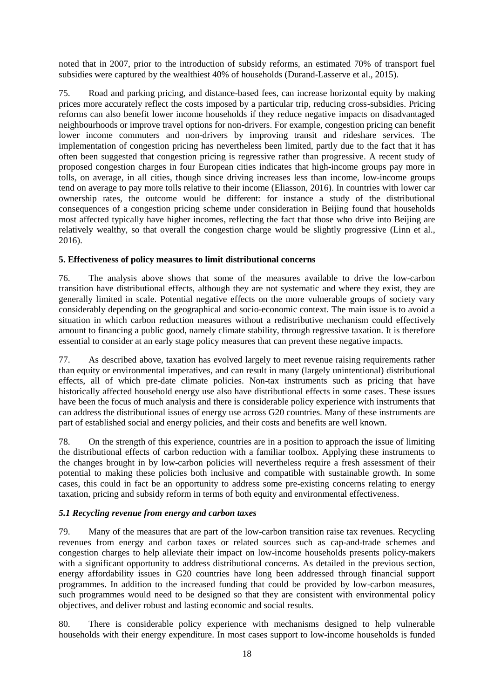noted that in 2007, prior to the introduction of subsidy reforms, an estimated 70% of transport fuel subsidies were captured by the wealthiest 40% of households (Durand-Lasserve et al., 2015).

75. Road and parking pricing, and distance-based fees, can increase horizontal equity by making prices more accurately reflect the costs imposed by a particular trip, reducing cross-subsidies. Pricing reforms can also benefit lower income households if they reduce negative impacts on disadvantaged neighbourhoods or improve travel options for non-drivers. For example, congestion pricing can benefit lower income commuters and non-drivers by improving transit and rideshare services. The implementation of congestion pricing has nevertheless been limited, partly due to the fact that it has often been suggested that congestion pricing is regressive rather than progressive. A recent study of proposed congestion charges in four European cities indicates that high-income groups pay more in tolls, on average, in all cities, though since driving increases less than income, low-income groups tend on average to pay more tolls relative to their income (Eliasson, 2016). In countries with lower car ownership rates, the outcome would be different: for instance a study of the distributional consequences of a congestion pricing scheme under consideration in Beijing found that households most affected typically have higher incomes, reflecting the fact that those who drive into Beijing are relatively wealthy, so that overall the congestion charge would be slightly progressive (Linn et al., 2016).

## **5. Effectiveness of policy measures to limit distributional concerns**

76. The analysis above shows that some of the measures available to drive the low-carbon transition have distributional effects, although they are not systematic and where they exist, they are generally limited in scale. Potential negative effects on the more vulnerable groups of society vary considerably depending on the geographical and socio-economic context. The main issue is to avoid a situation in which carbon reduction measures without a redistributive mechanism could effectively amount to financing a public good, namely climate stability, through regressive taxation. It is therefore essential to consider at an early stage policy measures that can prevent these negative impacts.

77. As described above, taxation has evolved largely to meet revenue raising requirements rather than equity or environmental imperatives, and can result in many (largely unintentional) distributional effects, all of which pre-date climate policies. Non-tax instruments such as pricing that have historically affected household energy use also have distributional effects in some cases. These issues have been the focus of much analysis and there is considerable policy experience with instruments that can address the distributional issues of energy use across G20 countries. Many of these instruments are part of established social and energy policies, and their costs and benefits are well known.

78. On the strength of this experience, countries are in a position to approach the issue of limiting the distributional effects of carbon reduction with a familiar toolbox. Applying these instruments to the changes brought in by low-carbon policies will nevertheless require a fresh assessment of their potential to making these policies both inclusive and compatible with sustainable growth. In some cases, this could in fact be an opportunity to address some pre-existing concerns relating to energy taxation, pricing and subsidy reform in terms of both equity and environmental effectiveness.

#### *5.1 Recycling revenue from energy and carbon taxes*

79. Many of the measures that are part of the low-carbon transition raise tax revenues. Recycling revenues from energy and carbon taxes or related sources such as cap-and-trade schemes and congestion charges to help alleviate their impact on low-income households presents policy-makers with a significant opportunity to address distributional concerns. As detailed in the previous section, energy affordability issues in G20 countries have long been addressed through financial support programmes. In addition to the increased funding that could be provided by low-carbon measures, such programmes would need to be designed so that they are consistent with environmental policy objectives, and deliver robust and lasting economic and social results.

80. There is considerable policy experience with mechanisms designed to help vulnerable households with their energy expenditure. In most cases support to low-income households is funded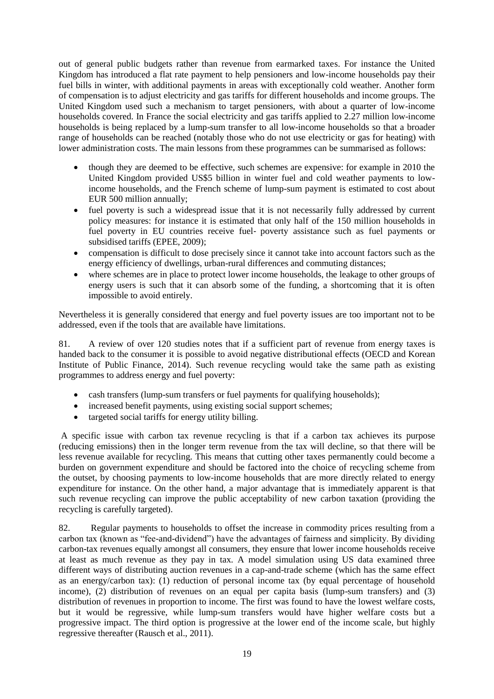out of general public budgets rather than revenue from earmarked taxes. For instance the United Kingdom has introduced a flat rate payment to help pensioners and low-income households pay their fuel bills in winter, with additional payments in areas with exceptionally cold weather. Another form of compensation is to adjust electricity and gas tariffs for different households and income groups. The United Kingdom used such a mechanism to target pensioners, with about a quarter of low-income households covered. In France the social electricity and gas tariffs applied to 2.27 million low-income households is being replaced by a lump-sum transfer to all low-income households so that a broader range of households can be reached (notably those who do not use electricity or gas for heating) with lower administration costs. The main lessons from these programmes can be summarised as follows:

- though they are deemed to be effective, such schemes are expensive: for example in 2010 the United Kingdom provided US\$5 billion in winter fuel and cold weather payments to lowincome households, and the French scheme of lump-sum payment is estimated to cost about EUR 500 million annually;
- fuel poverty is such a widespread issue that it is not necessarily fully addressed by current policy measures: for instance it is estimated that only half of the 150 million households in fuel poverty in EU countries receive fuel‐ poverty assistance such as fuel payments or subsidised tariffs (EPEE, 2009);
- compensation is difficult to dose precisely since it cannot take into account factors such as the energy efficiency of dwellings, urban-rural differences and commuting distances;
- where schemes are in place to protect lower income households, the leakage to other groups of energy users is such that it can absorb some of the funding, a shortcoming that it is often impossible to avoid entirely.

Nevertheless it is generally considered that energy and fuel poverty issues are too important not to be addressed, even if the tools that are available have limitations.

81. A review of over 120 studies notes that if a sufficient part of revenue from energy taxes is handed back to the consumer it is possible to avoid negative distributional effects (OECD and Korean Institute of Public Finance, 2014). Such revenue recycling would take the same path as existing programmes to address energy and fuel poverty:

- cash transfers (lump-sum transfers or fuel payments for qualifying households);
- increased benefit payments, using existing social support schemes;
- targeted social tariffs for energy utility billing.

A specific issue with carbon tax revenue recycling is that if a carbon tax achieves its purpose (reducing emissions) then in the longer term revenue from the tax will decline, so that there will be less revenue available for recycling. This means that cutting other taxes permanently could become a burden on government expenditure and should be factored into the choice of recycling scheme from the outset, by choosing payments to low-income households that are more directly related to energy expenditure for instance. On the other hand, a major advantage that is immediately apparent is that such revenue recycling can improve the public acceptability of new carbon taxation (providing the recycling is carefully targeted).

82. Regular payments to households to offset the increase in commodity prices resulting from a carbon tax (known as "fee-and-dividend") have the advantages of fairness and simplicity. By dividing carbon-tax revenues equally amongst all consumers, they ensure that lower income households receive at least as much revenue as they pay in tax. A model simulation using US data examined three different ways of distributing auction revenues in a cap-and-trade scheme (which has the same effect as an energy/carbon tax): (1) reduction of personal income tax (by equal percentage of household income), (2) distribution of revenues on an equal per capita basis (lump-sum transfers) and (3) distribution of revenues in proportion to income. The first was found to have the lowest welfare costs, but it would be regressive, while lump-sum transfers would have higher welfare costs but a progressive impact. The third option is progressive at the lower end of the income scale, but highly regressive thereafter (Rausch et al., 2011).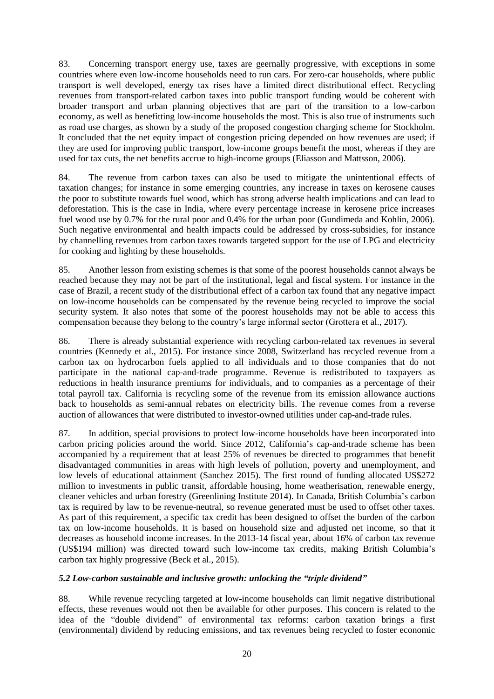83. Concerning transport energy use, taxes are geernally progressive, with exceptions in some countries where even low-income households need to run cars. For zero-car households, where public transport is well developed, energy tax rises have a limited direct distributional effect. Recycling revenues from transport-related carbon taxes into public transport funding would be coherent with broader transport and urban planning objectives that are part of the transition to a low-carbon economy, as well as benefitting low-income households the most. This is also true of instruments such as road use charges, as shown by a study of the proposed congestion charging scheme for Stockholm. It concluded that the net equity impact of congestion pricing depended on how revenues are used; if they are used for improving public transport, low-income groups benefit the most, whereas if they are used for tax cuts, the net benefits accrue to high-income groups (Eliasson and Mattsson, 2006).

84. The revenue from carbon taxes can also be used to mitigate the unintentional effects of taxation changes; for instance in some emerging countries, any increase in taxes on kerosene causes the poor to substitute towards fuel wood, which has strong adverse health implications and can lead to deforestation. This is the case in India, where every percentage increase in kerosene price increases fuel wood use by 0.7% for the rural poor and 0.4% for the urban poor (Gundimeda and Kohlin, 2006). Such negative environmental and health impacts could be addressed by cross-subsidies, for instance by channelling revenues from carbon taxes towards targeted support for the use of LPG and electricity for cooking and lighting by these households.

85. Another lesson from existing schemes is that some of the poorest households cannot always be reached because they may not be part of the institutional, legal and fiscal system. For instance in the case of Brazil, a recent study of the distributional effect of a carbon tax found that any negative impact on low-income households can be compensated by the revenue being recycled to improve the social security system. It also notes that some of the poorest households may not be able to access this compensation because they belong to the country's large informal sector (Grottera et al., 2017).

86. There is already substantial experience with recycling carbon-related tax revenues in several countries (Kennedy et al., 2015). For instance since 2008, Switzerland has recycled revenue from a carbon tax on hydrocarbon fuels applied to all individuals and to those companies that do not participate in the national cap-and-trade programme. Revenue is redistributed to taxpayers as reductions in health insurance premiums for individuals, and to companies as a percentage of their total payroll tax. California is recycling some of the revenue from its emission allowance auctions back to households as semi-annual rebates on electricity bills. The revenue comes from a reverse auction of allowances that were distributed to investor-owned utilities under cap-and-trade rules.

87. In addition, special provisions to protect low-income households have been incorporated into carbon pricing policies around the world. Since 2012, California's cap-and-trade scheme has been accompanied by a requirement that at least 25% of revenues be directed to programmes that benefit disadvantaged communities in areas with high levels of pollution, poverty and unemployment, and low levels of educational attainment (Sanchez 2015). The first round of funding allocated US\$272 million to investments in public transit, affordable housing, home weatherisation, renewable energy, cleaner vehicles and urban forestry (Greenlining Institute 2014). In Canada, British Columbia's carbon tax is required by law to be revenue-neutral, so revenue generated must be used to offset other taxes. As part of this requirement, a specific tax credit has been designed to offset the burden of the carbon tax on low-income households. It is based on household size and adjusted net income, so that it decreases as household income increases. In the 2013-14 fiscal year, about 16% of carbon tax revenue (US\$194 million) was directed toward such low-income tax credits, making British Columbia's carbon tax highly progressive (Beck et al., 2015).

## *5.2 Low-carbon sustainable and inclusive growth: unlocking the "triple dividend"*

88. While revenue recycling targeted at low-income households can limit negative distributional effects, these revenues would not then be available for other purposes. This concern is related to the idea of the "double dividend" of environmental tax reforms: carbon taxation brings a first (environmental) dividend by reducing emissions, and tax revenues being recycled to foster economic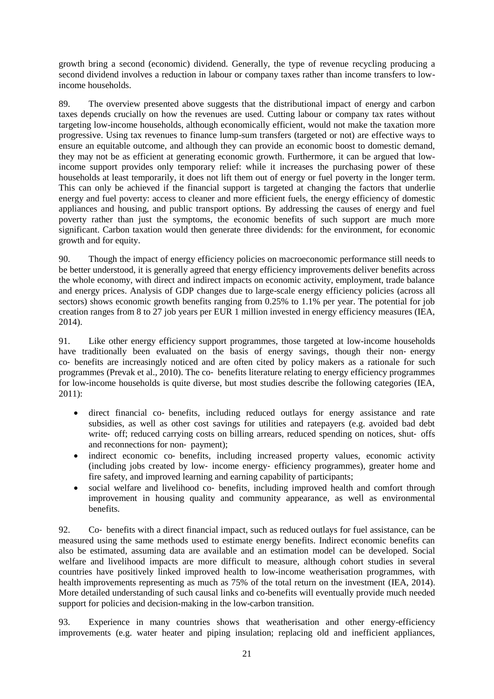growth bring a second (economic) dividend. Generally, the type of revenue recycling producing a second dividend involves a reduction in labour or company taxes rather than income transfers to lowincome households.

89. The overview presented above suggests that the distributional impact of energy and carbon taxes depends crucially on how the revenues are used. Cutting labour or company tax rates without targeting low-income households, although economically efficient, would not make the taxation more progressive. Using tax revenues to finance lump-sum transfers (targeted or not) are effective ways to ensure an equitable outcome, and although they can provide an economic boost to domestic demand, they may not be as efficient at generating economic growth. Furthermore, it can be argued that lowincome support provides only temporary relief: while it increases the purchasing power of these households at least temporarily, it does not lift them out of energy or fuel poverty in the longer term. This can only be achieved if the financial support is targeted at changing the factors that underlie energy and fuel poverty: access to cleaner and more efficient fuels, the energy efficiency of domestic appliances and housing, and public transport options. By addressing the causes of energy and fuel poverty rather than just the symptoms, the economic benefits of such support are much more significant. Carbon taxation would then generate three dividends: for the environment, for economic growth and for equity.

90. Though the impact of energy efficiency policies on macroeconomic performance still needs to be better understood, it is generally agreed that energy efficiency improvements deliver benefits across the whole economy, with direct and indirect impacts on economic activity, employment, trade balance and energy prices. Analysis of GDP changes due to large-scale energy efficiency policies (across all sectors) shows economic growth benefits ranging from 0.25% to 1.1% per year. The potential for job creation ranges from 8 to 27 job years per EUR 1 million invested in energy efficiency measures (IEA, 2014).

91. Like other energy efficiency support programmes, those targeted at low-income households have traditionally been evaluated on the basis of energy savings, though their non-energy co‐ benefits are increasingly noticed and are often cited by policy makers as a rationale for such programmes (Prevak et al., 2010). The co- benefits literature relating to energy efficiency programmes for low-income households is quite diverse, but most studies describe the following categories (IEA, 2011):

- direct financial co- benefits, including reduced outlays for energy assistance and rate subsidies, as well as other cost savings for utilities and ratepayers (e.g. avoided bad debt write- off; reduced carrying costs on billing arrears, reduced spending on notices, shut- offs and reconnections for non‐ payment);
- indirect economic co- benefits, including increased property values, economic activity (including jobs created by low‐ income energy‐ efficiency programmes), greater home and fire safety, and improved learning and earning capability of participants;
- social welfare and livelihood co- benefits, including improved health and comfort through improvement in housing quality and community appearance, as well as environmental benefits.

92. Co- benefits with a direct financial impact, such as reduced outlays for fuel assistance, can be measured using the same methods used to estimate energy benefits. Indirect economic benefits can also be estimated, assuming data are available and an estimation model can be developed. Social welfare and livelihood impacts are more difficult to measure, although cohort studies in several countries have positively linked improved health to low-income weatherisation programmes, with health improvements representing as much as 75% of the total return on the investment (IEA, 2014). More detailed understanding of such causal links and co-benefits will eventually provide much needed support for policies and decision-making in the low-carbon transition.

93. Experience in many countries shows that weatherisation and other energy-efficiency improvements (e.g. water heater and piping insulation; replacing old and inefficient appliances,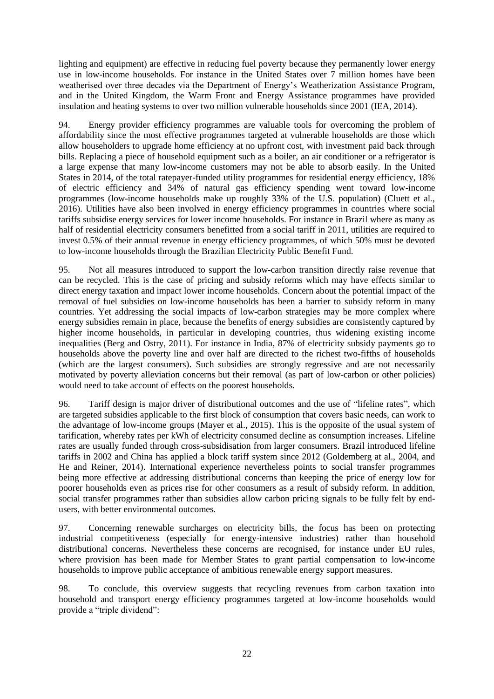lighting and equipment) are effective in reducing fuel poverty because they permanently lower energy use in low-income households. For instance in the United States over 7 million homes have been weatherised over three decades via the Department of Energy's Weatherization Assistance Program, and in the United Kingdom, the Warm Front and Energy Assistance programmes have provided insulation and heating systems to over two million vulnerable households since 2001 (IEA, 2014).

94. Energy provider efficiency programmes are valuable tools for overcoming the problem of affordability since the most effective programmes targeted at vulnerable households are those which allow householders to upgrade home efficiency at no upfront cost, with investment paid back through bills. Replacing a piece of household equipment such as a boiler, an air conditioner or a refrigerator is a large expense that many low-income customers may not be able to absorb easily. In the United States in 2014, of the total ratepayer-funded utility programmes for residential energy efficiency, 18% of electric efficiency and 34% of natural gas efficiency spending went toward low-income programmes (low-income households make up roughly 33% of the U.S. population) (Cluett et al., 2016). Utilities have also been involved in energy efficiency programmes in countries where social tariffs subsidise energy services for lower income households. For instance in Brazil where as many as half of residential electricity consumers benefitted from a social tariff in 2011, utilities are required to invest 0.5% of their annual revenue in energy efficiency programmes, of which 50% must be devoted to low-income households through the Brazilian Electricity Public Benefit Fund.

95. Not all measures introduced to support the low-carbon transition directly raise revenue that can be recycled. This is the case of pricing and subsidy reforms which may have effects similar to direct energy taxation and impact lower income households. Concern about the potential impact of the removal of fuel subsidies on low-income households has been a barrier to subsidy reform in many countries. Yet addressing the social impacts of low-carbon strategies may be more complex where energy subsidies remain in place, because the benefits of energy subsidies are consistently captured by higher income households, in particular in developing countries, thus widening existing income inequalities (Berg and Ostry, 2011). For instance in India, 87% of electricity subsidy payments go to households above the poverty line and over half are directed to the richest two-fifths of households (which are the largest consumers). Such subsidies are strongly regressive and are not necessarily motivated by poverty alleviation concerns but their removal (as part of low-carbon or other policies) would need to take account of effects on the poorest households.

96. Tariff design is major driver of distributional outcomes and the use of "lifeline rates", which are targeted subsidies applicable to the first block of consumption that covers basic needs, can work to the advantage of low-income groups (Mayer et al., 2015). This is the opposite of the usual system of tarification, whereby rates per kWh of electricity consumed decline as consumption increases. Lifeline rates are usually funded through cross-subsidisation from larger consumers. Brazil introduced lifeline tariffs in 2002 and China has applied a block tariff system since 2012 (Goldemberg at al., 2004, and He and Reiner, 2014). International experience nevertheless points to social transfer programmes being more effective at addressing distributional concerns than keeping the price of energy low for poorer households even as prices rise for other consumers as a result of subsidy reform. In addition, social transfer programmes rather than subsidies allow carbon pricing signals to be fully felt by endusers, with better environmental outcomes.

97. Concerning renewable surcharges on electricity bills, the focus has been on protecting industrial competitiveness (especially for energy-intensive industries) rather than household distributional concerns. Nevertheless these concerns are recognised, for instance under EU rules, where provision has been made for Member States to grant partial compensation to low-income households to improve public acceptance of ambitious renewable energy support measures.

98. To conclude, this overview suggests that recycling revenues from carbon taxation into household and transport energy efficiency programmes targeted at low-income households would provide a "triple dividend":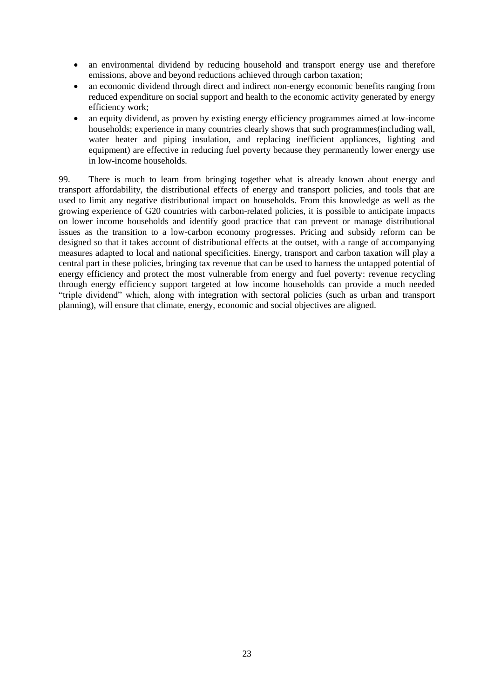- an environmental dividend by reducing household and transport energy use and therefore emissions, above and beyond reductions achieved through carbon taxation;
- an economic dividend through direct and indirect non-energy economic benefits ranging from reduced expenditure on social support and health to the economic activity generated by energy efficiency work;
- an equity dividend, as proven by existing energy efficiency programmes aimed at low-income households; experience in many countries clearly shows that such programmes(including wall, water heater and piping insulation, and replacing inefficient appliances, lighting and equipment) are effective in reducing fuel poverty because they permanently lower energy use in low-income households.

99. There is much to learn from bringing together what is already known about energy and transport affordability, the distributional effects of energy and transport policies, and tools that are used to limit any negative distributional impact on households. From this knowledge as well as the growing experience of G20 countries with carbon-related policies, it is possible to anticipate impacts on lower income households and identify good practice that can prevent or manage distributional issues as the transition to a low-carbon economy progresses. Pricing and subsidy reform can be designed so that it takes account of distributional effects at the outset, with a range of accompanying measures adapted to local and national specificities. Energy, transport and carbon taxation will play a central part in these policies, bringing tax revenue that can be used to harness the untapped potential of energy efficiency and protect the most vulnerable from energy and fuel poverty: revenue recycling through energy efficiency support targeted at low income households can provide a much needed "triple dividend" which, along with integration with sectoral policies (such as urban and transport planning), will ensure that climate, energy, economic and social objectives are aligned.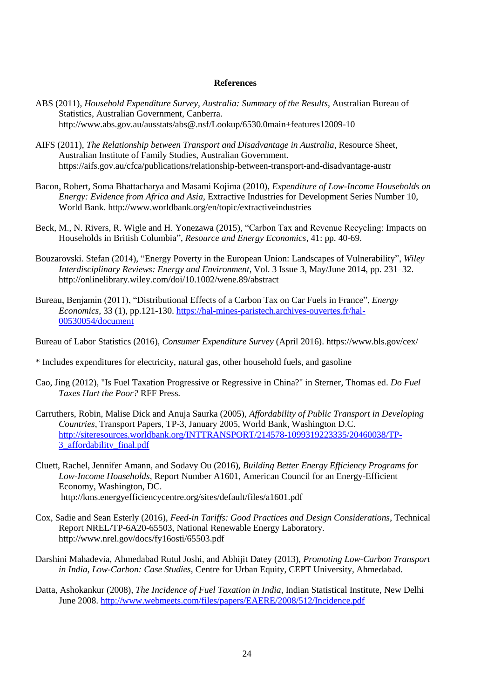#### **References**

- ABS (2011), *Household Expenditure Survey, Australia: Summary of the Results*, Australian Bureau of Statistics, Australian Government, Canberra. http://www.abs.gov.au/ausstats/abs@.nsf/Lookup/6530.0main+features12009-10
- AIFS (2011), *The Relationship between Transport and Disadvantage in Australia*, Resource Sheet, Australian Institute of Family Studies, Australian Government. https://aifs.gov.au/cfca/publications/relationship-between-transport-and-disadvantage-austr
- Bacon, Robert, Soma Bhattacharya and Masami Kojima (2010), *Expenditure of Low-Income Households on Energy: Evidence from Africa and Asia*, Extractive Industries for Development Series Number 10, World Bank. http://www.worldbank.org/en/topic/extractiveindustries
- Beck, M., N. Rivers, R. Wigle and H. Yonezawa (2015), "Carbon Tax and Revenue Recycling: Impacts on Households in British Columbia", *Resource and Energy Economics,* 41: pp. 40-69.
- Bouzarovski. Stefan (2014), "Energy Poverty in the European Union: Landscapes of Vulnerability", *Wiley Interdisciplinary Reviews: Energy and Environment*, Vol. 3 Issue 3, May/June 2014, pp. 231–32. http://onlinelibrary.wiley.com/doi/10.1002/wene.89/abstract
- Bureau, Benjamin (2011), "Distributional Effects of a Carbon Tax on Car Fuels in France", *Energy Economics,* 33 (1), pp.121-130. [https://hal-mines-paristech.archives-ouvertes.fr/hal-](https://hal-mines-paristech.archives-ouvertes.fr/hal-00530054/document)[00530054/document](https://hal-mines-paristech.archives-ouvertes.fr/hal-00530054/document)

Bureau of Labor Statistics (2016), *Consumer Expenditure Survey* (April 2016). https://www.bls.gov/cex/

- \* Includes expenditures for electricity, natural gas, other household fuels, and gasoline
- Cao, Jing (2012), "Is Fuel Taxation Progressive or Regressive in China?" in Sterner, Thomas ed. *Do Fuel Taxes Hurt the Poor?* RFF Press*.*
- Carruthers, Robin, Malise Dick and Anuja Saurka (2005), *Affordability of Public Transport in Developing Countries*, Transport Papers, TP-3, January 2005, World Bank, Washington D.C. [http://siteresources.worldbank.org/INTTRANSPORT/214578-1099319223335/20460038/TP-](http://siteresources.worldbank.org/INTTRANSPORT/214578-1099319223335/20460038/TP-3_affordability_final.pdf)[3\\_affordability\\_final.pdf](http://siteresources.worldbank.org/INTTRANSPORT/214578-1099319223335/20460038/TP-3_affordability_final.pdf)
- Cluett, Rachel, Jennifer Amann, and Sodavy Ou (2016), *Building Better Energy Efficiency Programs for Low-Income Households*, Report Number A1601, American Council for an Energy-Efficient Economy, Washington, DC. http://kms.energyefficiencycentre.org/sites/default/files/a1601.pdf
- Cox, Sadie and Sean Esterly (2016), *Feed-in Tariffs: Good Practices and Design Considerations*, Technical Report NREL/TP-6A20-65503, National Renewable Energy Laboratory. http://www.nrel.gov/docs/fy16osti/65503.pdf
- Darshini Mahadevia, Ahmedabad Rutul Joshi, and Abhijit Datey (2013), *Promoting Low-Carbon Transport in India, Low-Carbon: Case Studies*, Centre for Urban Equity, CEPT University, Ahmedabad.
- Datta, Ashokankur (2008), *The Incidence of Fuel Taxation in India*, Indian Statistical Institute, New Delhi June 2008. <http://www.webmeets.com/files/papers/EAERE/2008/512/Incidence.pdf>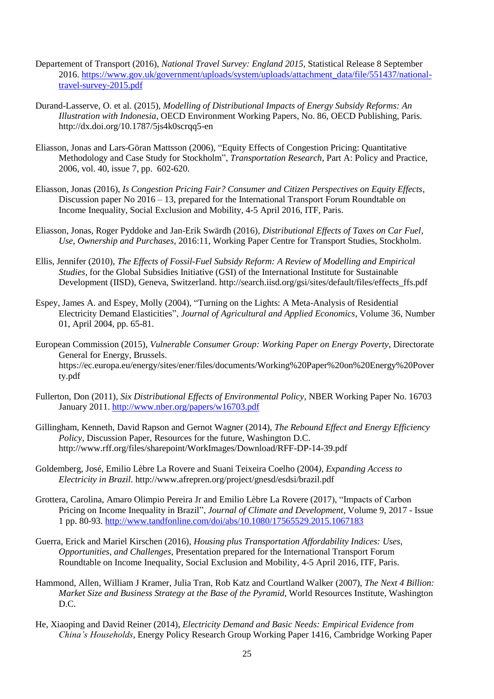- Departement of Transport (2016), *National Travel Survey: England 2015*, Statistical Release 8 September 2016. [https://www.gov.uk/government/uploads/system/uploads/attachment\\_data/file/551437/national](https://www.gov.uk/government/uploads/system/uploads/attachment_data/file/551437/national-travel-survey-2015.pdf)[travel-survey-2015.pdf](https://www.gov.uk/government/uploads/system/uploads/attachment_data/file/551437/national-travel-survey-2015.pdf)
- Durand-Lasserve, O. et al. (2015), *Modelling of Distributional Impacts of Energy Subsidy Reforms: An Illustration with Indonesia*, OECD Environment Working Papers, No. 86, OECD Publishing, Paris. http://dx.doi.org/10.1787/5js4k0scrqq5-en
- Eliasson, Jonas and Lars-Göran Mattsson (2006), "Equity Effects of Congestion Pricing: Quantitative Methodology and Case Study for Stockholm", *Transportation Research*, Part A: Policy and Practice, 2006, vol. 40, issue 7, pp. 602-620.
- Eliasson, Jonas (2016), *Is Congestion Pricing Fair? Consumer and Citizen Perspectives on Equity Effects*, Discussion paper No 2016 – 13, prepared for the International Transport Forum Roundtable on Income Inequality, Social Exclusion and Mobility, 4-5 April 2016, ITF, Paris.
- Eliasson, Jonas, Roger Pyddoke and Jan-Erik Swärdh (2016), *Distributional Effects of Taxes on Car Fuel, Use, Ownership and Purchases*, 2016:11, Working Paper Centre for Transport Studies, Stockholm.
- Ellis, Jennifer (2010), *The Effects of Fossil-Fuel Subsidy Reform: A Review of Modelling and Empirical Studies*, for the Global Subsidies Initiative (GSI) of the International Institute for Sustainable Development (IISD), Geneva, Switzerland. http://search.iisd.org/gsi/sites/default/files/effects\_ffs.pdf
- Espey, James A. and Espey, Molly (2004), "Turning on the Lights: A Meta-Analysis of Residential Electricity Demand Elasticities", *Journal of Agricultural and Applied Economics*, Volume 36, Number 01, April 2004, pp. 65-81.
- European Commission (2015), *Vulnerable Consumer Group: Working Paper on Energy Poverty*, Directorate General for Energy, Brussels. https://ec.europa.eu/energy/sites/ener/files/documents/Working%20Paper%20on%20Energy%20Pover ty.pdf
- Fullerton, Don (2011), *Six Distributional Effects of Environmental Policy*, NBER Working Paper No. 16703 January 2011. <http://www.nber.org/papers/w16703.pdf>
- Gillingham, Kenneth, David Rapson and Gernot Wagner (2014), *The Rebound Effect and Energy Efficiency Policy*, Discussion Paper, Resources for the future, Washington D.C. http://www.rff.org/files/sharepoint/WorkImages/Download/RFF-DP-14-39.pdf
- Goldemberg, José, Emilio Lèbre La Rovere and Suani Teixeira Coelho (2004*), Expanding Access to Electricity in Brazil*. http://www.afrepren.org/project/gnesd/esdsi/brazil.pdf
- Grottera, Carolina, Amaro Olimpio Pereira Jr and Emilio Lèbre La Rovere (2017), "Impacts of Carbon Pricing on Income Inequality in Brazil", *Journal of Climate and Development*, Volume 9, 2017 - Issue 1 pp. 80-93. <http://www.tandfonline.com/doi/abs/10.1080/17565529.2015.1067183>
- Guerra, Erick and Mariel Kirschen (2016), *Housing plus Transportation Affordability Indices: Uses, Opportunities, and Challenges*, Presentation prepared for the International Transport Forum Roundtable on Income Inequality, Social Exclusion and Mobility, 4-5 April 2016, ITF, Paris.
- Hammond, Allen, William J Kramer, Julia Tran, Rob Katz and Courtland Walker (2007), *The Next 4 Billion: Market Size and Business Strategy at the Base of the Pyramid*, World Resources Institute, Washington D.C.
- He, Xiaoping and David Reiner (2014), *Electricity Demand and Basic Needs: Empirical Evidence from China's Households*, Energy Policy Research Group Working Paper 1416*,* Cambridge Working Paper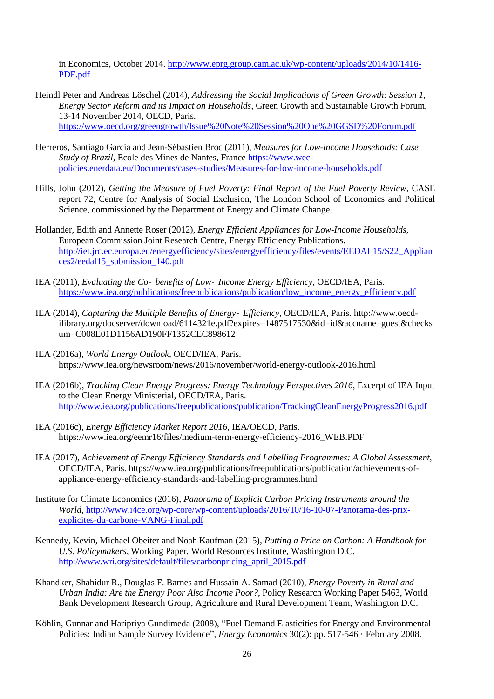in Economics, October 2014. [http://www.eprg.group.cam.ac.uk/wp-content/uploads/2014/10/1416-](http://www.eprg.group.cam.ac.uk/wp-content/uploads/2014/10/1416-PDF.pdf) [PDF.pdf](http://www.eprg.group.cam.ac.uk/wp-content/uploads/2014/10/1416-PDF.pdf)

- Heindl Peter and Andreas Löschel (2014), *Addressing the Social Implications of Green Growth: Session 1, Energy Sector Reform and its Impact on Households*, Green Growth and Sustainable Growth Forum, 13-14 November 2014, OECD, Paris. <https://www.oecd.org/greengrowth/Issue%20Note%20Session%20One%20GGSD%20Forum.pdf>
- Herreros, Santiago Garcia and Jean-Sébastien Broc (2011), *Measures for Low-income Households: Case Study of Brazil*, Ecole des Mines de Nantes, France [https://www.wec](https://www.wec-policies.enerdata.eu/Documents/cases-studies/Measures-for-low-income-households.pdf)[policies.enerdata.eu/Documents/cases-studies/Measures-for-low-income-households.pdf](https://www.wec-policies.enerdata.eu/Documents/cases-studies/Measures-for-low-income-households.pdf)
- Hills, John (2012), *Getting the Measure of Fuel Poverty: Final Report of the Fuel Poverty Review*, CASE report 72, Centre for Analysis of Social Exclusion, The London School of Economics and Political Science, commissioned by the Department of Energy and Climate Change.
- Hollander, Edith and Annette Roser (2012), *Energy Efficient Appliances for Low-Income Households*, European Commission Joint Research Centre, Energy Efficiency Publications. [http://iet.jrc.ec.europa.eu/energyefficiency/sites/energyefficiency/files/events/EEDAL15/S22\\_Applian](http://iet.jrc.ec.europa.eu/energyefficiency/sites/energyefficiency/files/events/EEDAL15/S22_Appliances2/eedal15_submission_140.pdf) [ces2/eedal15\\_submission\\_140.pdf](http://iet.jrc.ec.europa.eu/energyefficiency/sites/energyefficiency/files/events/EEDAL15/S22_Appliances2/eedal15_submission_140.pdf)
- IEA (2011), *Evaluating the Co*‐ *benefits of Low*‐ *Income Energy Efficiency*, OECD/IEA, Paris. [https://www.iea.org/publications/freepublications/publication/low\\_income\\_energy\\_efficiency.pdf](https://www.iea.org/publications/freepublications/publication/low_income_energy_efficiency.pdf)
- IEA (2014), *Capturing the Multiple Benefits of Energy*‐ *Efficiency*, OECD/IEA, Paris. http://www.oecdilibrary.org/docserver/download/6114321e.pdf?expires=1487517530&id=id&accname=guest&checks um=C008E01D1156AD190FF1352CEC898612
- IEA (2016a), *World Energy Outlook*, OECD/IEA, Paris. https://www.iea.org/newsroom/news/2016/november/world-energy-outlook-2016.html
- IEA (2016b), *Tracking Clean Energy Progress: Energy Technology Perspectives 2016*, Excerpt of IEA Input to the Clean Energy Ministerial, OECD/IEA, Paris. <http://www.iea.org/publications/freepublications/publication/TrackingCleanEnergyProgress2016.pdf>
- IEA (2016c), *Energy Efficiency Market Report 2016*, IEA/OECD, Paris. https://www.iea.org/eemr16/files/medium-term-energy-efficiency-2016\_WEB.PDF
- IEA (2017), *Achievement of Energy Efficiency Standards and Labelling Programmes: A Global Assessment*, OECD/IEA, Paris. https://www.iea.org/publications/freepublications/publication/achievements-ofappliance-energy-efficiency-standards-and-labelling-programmes.html
- Institute for Climate Economics (2016), *Panorama of Explicit Carbon Pricing Instruments around the World*, [http://www.i4ce.org/wp-core/wp-content/uploads/2016/10/16-10-07-Panorama-des-prix](http://www.i4ce.org/wp-core/wp-content/uploads/2016/10/16-10-07-Panorama-des-prix-explicites-du-carbone-VANG-Final.pdf)[explicites-du-carbone-VANG-Final.pdf](http://www.i4ce.org/wp-core/wp-content/uploads/2016/10/16-10-07-Panorama-des-prix-explicites-du-carbone-VANG-Final.pdf)
- Kennedy, Kevin, Michael Obeiter and Noah Kaufman (2015), *Putting a Price on Carbon: A Handbook for U.S. Policymakers*, Working Paper, World Resources Institute, Washington D.C. [http://www.wri.org/sites/default/files/carbonpricing\\_april\\_2015.pdf](http://www.wri.org/sites/default/files/carbonpricing_april_2015.pdf)
- Khandker, Shahidur R., Douglas F. Barnes and Hussain A. Samad (2010), *Energy Poverty in Rural and Urban India: Are the Energy Poor Also Income Poor?,* Policy Research Working Paper 5463, World Bank Development Research Group, Agriculture and Rural Development Team, Washington D.C.
- Köhlin, Gunnar and Haripriya Gundimeda (2008), "Fuel Demand Elasticities for Energy and Environmental Policies: Indian Sample Survey Evidence", *Energy Economics* 30(2): pp. 517-546 · February 2008.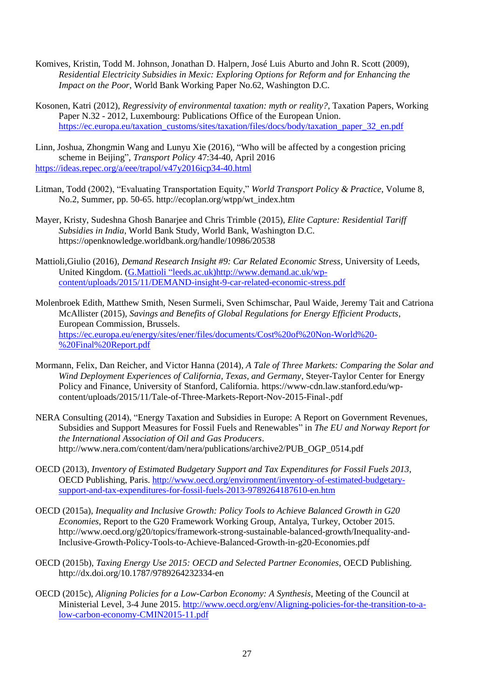- Komives, Kristin, Todd M. Johnson, Jonathan D. Halpern, José Luis Aburto and John R. Scott (2009), *Residential Electricity Subsidies in Mexic: Exploring Options for Reform and for Enhancing the Impact on the Poor*, World Bank Working Paper No.62, Washington D.C.
- Kosonen, Katri (2012), *Regressivity of environmental taxation: myth or reality?*, Taxation Papers, Working Paper N.32 - 2012, Luxembourg: Publications Office of the European Union. [https://ec.europa.eu/taxation\\_customs/sites/taxation/files/docs/body/taxation\\_paper\\_32\\_en.pdf](https://ec.europa.eu/taxation_customs/sites/taxation/files/docs/body/taxation_paper_32_en.pdf)

Linn, Joshua, Zhongmin Wang and Lunyu Xie (2016), "Who will be affected by a congestion pricing scheme in Beijing", *Transport Policy* 47:34-40, April 2016 <https://ideas.repec.org/a/eee/trapol/v47y2016icp34-40.html>

- Litman, Todd (2002), "Evaluating Transportation Equity," *World Transport Policy & Practice*, Volume 8, No.2, Summer, pp. 50-65. http://ecoplan.org/wtpp/wt\_index.htm
- Mayer, Kristy, Sudeshna Ghosh Banarjee and Chris Trimble (2015), *Elite Capture: Residential Tariff Subsidies in India*, World Bank Study, World Bank, Washington D.C. https://openknowledge.worldbank.org/handle/10986/20538
- Mattioli,Giulio (2016), *Demand Research Insight #9: Car Related Economic Stress*, University of Leeds, United Kingdom. (G.Mattioli ["leeds.ac.uk\)http://www.demand.ac.uk/wp](mailto:G.Mattioli@leeds.ac.uk)http://www.demand.ac.uk/wp-content/uploads/2015/11/DEMAND-insight-9-car-related-economic-stress.pdf)[content/uploads/2015/11/DEMAND-insight-9-car-related-economic-stress.pdf](mailto:G.Mattioli@leeds.ac.uk)http://www.demand.ac.uk/wp-content/uploads/2015/11/DEMAND-insight-9-car-related-economic-stress.pdf)
- Molenbroek Edith, Matthew Smith, Nesen Surmeli, Sven Schimschar, Paul Waide, Jeremy Tait and Catriona McAllister (2015), *Savings and Benefits of Global Regulations for Energy Efficient Products*, European Commission, Brussels. [https://ec.europa.eu/energy/sites/ener/files/documents/Cost%20of%20Non-World%20-](https://ec.europa.eu/energy/sites/ener/files/documents/Cost%20of%20Non-World%20-%20Final%20Report.pdf) [%20Final%20Report.pdf](https://ec.europa.eu/energy/sites/ener/files/documents/Cost%20of%20Non-World%20-%20Final%20Report.pdf)
- Mormann, Felix, Dan Reicher, and Victor Hanna (2014), *A Tale of Three Markets: Comparing the Solar and Wind Deployment Experiences of California, Texas, and Germany*, Steyer-Taylor Center for Energy Policy and Finance, University of Stanford, California. https://www-cdn.law.stanford.edu/wpcontent/uploads/2015/11/Tale-of-Three-Markets-Report-Nov-2015-Final-.pdf
- NERA Consulting (2014), "Energy Taxation and Subsidies in Europe: A Report on Government Revenues, Subsidies and Support Measures for Fossil Fuels and Renewables" in *The EU and Norway Report for the International Association of Oil and Gas Producers*. http://www.nera.com/content/dam/nera/publications/archive2/PUB\_OGP\_0514.pdf
- OECD (2013), *Inventory of Estimated Budgetary Support and Tax Expenditures for Fossil Fuels 2013*, OECD Publishing, Paris. [http://www.oecd.org/environment/inventory-of-estimated-budgetary](http://www.oecd.org/environment/inventory-of-estimated-budgetary-support-and-tax-expenditures-for-fossil-fuels-2013-9789264187610-en.htm)[support-and-tax-expenditures-for-fossil-fuels-2013-9789264187610-en.htm](http://www.oecd.org/environment/inventory-of-estimated-budgetary-support-and-tax-expenditures-for-fossil-fuels-2013-9789264187610-en.htm)
- OECD (2015a), *Inequality and Inclusive Growth: Policy Tools to Achieve Balanced Growth in G20 Economies*, Report to the G20 Framework Working Group, Antalya, Turkey, October 2015. http://www.oecd.org/g20/topics/framework-strong-sustainable-balanced-growth/Inequality-and-Inclusive-Growth-Policy-Tools-to-Achieve-Balanced-Growth-in-g20-Economies.pdf
- OECD (2015b), *Taxing Energy Use 2015: OECD and Selected Partner Economies*, OECD Publishing. http://dx.doi.org/10.1787/9789264232334-en
- OECD (2015c), *Aligning Policies for a Low-Carbon Economy: A Synthesis*, Meeting of the Council at Ministerial Level, 3-4 June 2015. [http://www.oecd.org/env/Aligning-policies-for-the-transition-to-a](http://www.oecd.org/env/Aligning-policies-for-the-transition-to-a-low-carbon-economy-CMIN2015-11.pdf)[low-carbon-economy-CMIN2015-11.pdf](http://www.oecd.org/env/Aligning-policies-for-the-transition-to-a-low-carbon-economy-CMIN2015-11.pdf)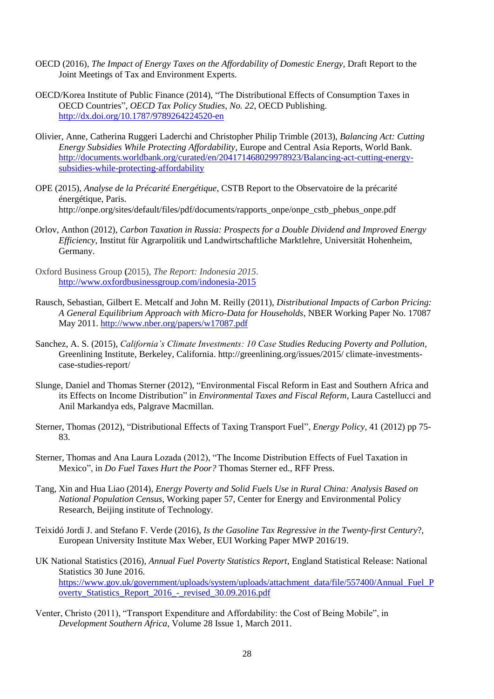- OECD (2016), *The Impact of Energy Taxes on the Affordability of Domestic Energy*, Draft Report to the Joint Meetings of Tax and Environment Experts.
- OECD/Korea Institute of Public Finance (2014), "The Distributional Effects of Consumption Taxes in OECD Countries", *OECD Tax Policy Studies, No. 22*, OECD Publishing. <http://dx.doi.org/10.1787/9789264224520-en>
- Olivier, Anne, Catherina Ruggeri Laderchi and Christopher Philip Trimble (2013), *Balancing Act: Cutting Energy Subsidies While Protecting Affordability,* Europe and Central Asia Reports, World Bank. [http://documents.worldbank.org/curated/en/204171468029978923/Balancing-act-cutting-energy](http://documents.worldbank.org/curated/en/204171468029978923/Balancing-act-cutting-energy-subsidies-while-protecting-affordability)[subsidies-while-protecting-affordability](http://documents.worldbank.org/curated/en/204171468029978923/Balancing-act-cutting-energy-subsidies-while-protecting-affordability)
- OPE (2015), *Analyse de la Précarité Energétique*, CSTB Report to the Observatoire de la précarité énergétique, Paris. http://onpe.org/sites/default/files/pdf/documents/rapports\_onpe/onpe\_cstb\_phebus\_onpe.pdf
- Orlov, Anthon (2012), *Carbon Taxation in Russia: Prospects for a Double Dividend and Improved Energy Efficiency*, Institut für Agrarpolitik und Landwirtschaftliche Marktlehre, Universität Hohenheim, Germany.
- Oxford Business Group **(**2015), *The Report: Indonesia 2015*. <http://www.oxfordbusinessgroup.com/indonesia-2015>
- Rausch, Sebastian, Gilbert E. Metcalf and John M. Reilly (2011), *Distributional Impacts of Carbon Pricing: A General Equilibrium Approach with Micro-Data for Households*, NBER Working Paper No. 17087 May 2011. <http://www.nber.org/papers/w17087.pdf>
- Sanchez, A. S. (2015), *California's Climate Investments: 10 Case Studies Reducing Poverty and Pollution*, Greenlining Institute, Berkeley, California. http://greenlining.org/issues/2015/ climate-investmentscase-studies-report/
- Slunge, Daniel and Thomas Sterner (2012), "Environmental Fiscal Reform in East and Southern Africa and its Effects on Income Distribution" in *Environmental Taxes and Fiscal Reform,* Laura Castellucci and Anil Markandya eds, Palgrave Macmillan.
- Sterner, Thomas (2012), "Distributional Effects of Taxing Transport Fuel", *Energy Policy*, 41 (2012) pp 75- 83.
- Sterner, Thomas and Ana Laura Lozada (2012), "The Income Distribution Effects of Fuel Taxation in Mexico", in *Do Fuel Taxes Hurt the Poor?* Thomas Sterner ed.*,* RFF Press.
- Tang, Xin and Hua Liao (2014), *Energy Poverty and Solid Fuels Use in Rural China: Analysis Based on National Population Census*, Working paper 57, Center for Energy and Environmental Policy Research, Beijing institute of Technology.
- Teixidó Jordi J. and Stefano F. Verde (2016), *Is the Gasoline Tax Regressive in the Twenty-first Century*?, European University Institute Max Weber, EUI Working Paper MWP 2016/19.
- UK National Statistics (2016), *Annual Fuel Poverty Statistics Report*, England Statistical Release: National Statistics 30 June 2016. [https://www.gov.uk/government/uploads/system/uploads/attachment\\_data/file/557400/Annual\\_Fuel\\_P](https://www.gov.uk/government/uploads/system/uploads/attachment_data/file/557400/Annual_Fuel_Poverty_Statistics_Report_2016_-_revised_30.09.2016.pdf) [overty\\_Statistics\\_Report\\_2016\\_-\\_revised\\_30.09.2016.pdf](https://www.gov.uk/government/uploads/system/uploads/attachment_data/file/557400/Annual_Fuel_Poverty_Statistics_Report_2016_-_revised_30.09.2016.pdf)
- Venter, Christo (2011), "Transport Expenditure and Affordability: the Cost of Being Mobile", in *Development Southern Africa*, Volume 28 Issue 1, March 2011.